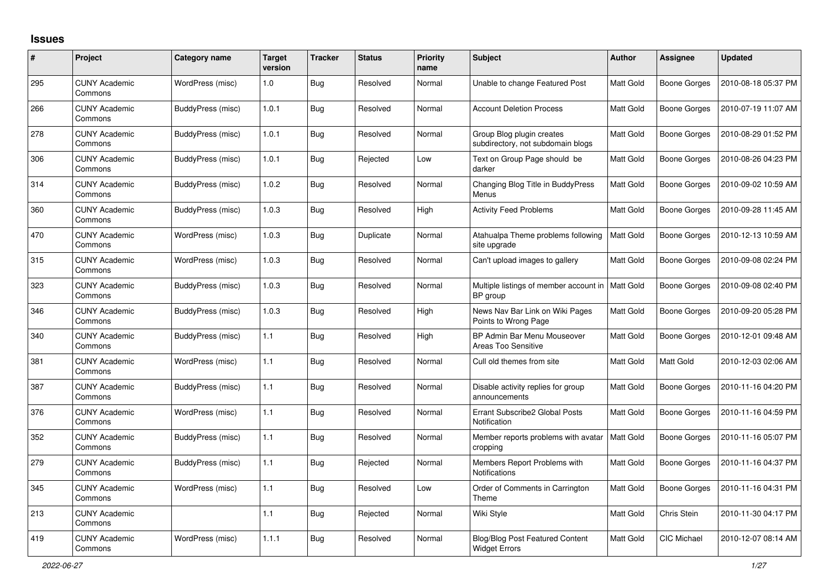## **Issues**

| #   | Project                         | <b>Category name</b>     | <b>Target</b><br>version | <b>Tracker</b> | <b>Status</b> | <b>Priority</b><br>name | <b>Subject</b>                                                 | <b>Author</b> | <b>Assignee</b>     | <b>Updated</b>      |
|-----|---------------------------------|--------------------------|--------------------------|----------------|---------------|-------------------------|----------------------------------------------------------------|---------------|---------------------|---------------------|
| 295 | <b>CUNY Academic</b><br>Commons | WordPress (misc)         | 1.0                      | Bug            | Resolved      | Normal                  | Unable to change Featured Post                                 | Matt Gold     | <b>Boone Gorges</b> | 2010-08-18 05:37 PM |
| 266 | <b>CUNY Academic</b><br>Commons | BuddyPress (misc)        | 1.0.1                    | <b>Bug</b>     | Resolved      | Normal                  | <b>Account Deletion Process</b>                                | Matt Gold     | <b>Boone Gorges</b> | 2010-07-19 11:07 AM |
| 278 | <b>CUNY Academic</b><br>Commons | BuddyPress (misc)        | 1.0.1                    | Bug            | Resolved      | Normal                  | Group Blog plugin creates<br>subdirectory, not subdomain blogs | Matt Gold     | <b>Boone Gorges</b> | 2010-08-29 01:52 PM |
| 306 | <b>CUNY Academic</b><br>Commons | BuddyPress (misc)        | 1.0.1                    | Bug            | Rejected      | Low                     | Text on Group Page should be<br>darker                         | Matt Gold     | <b>Boone Gorges</b> | 2010-08-26 04:23 PM |
| 314 | <b>CUNY Academic</b><br>Commons | BuddyPress (misc)        | 1.0.2                    | <b>Bug</b>     | Resolved      | Normal                  | Changing Blog Title in BuddyPress<br>Menus                     | Matt Gold     | <b>Boone Gorges</b> | 2010-09-02 10:59 AM |
| 360 | <b>CUNY Academic</b><br>Commons | BuddyPress (misc)        | 1.0.3                    | Bug            | Resolved      | High                    | <b>Activity Feed Problems</b>                                  | Matt Gold     | <b>Boone Gorges</b> | 2010-09-28 11:45 AM |
| 470 | <b>CUNY Academic</b><br>Commons | WordPress (misc)         | 1.0.3                    | <b>Bug</b>     | Duplicate     | Normal                  | Atahualpa Theme problems following<br>site upgrade             | Matt Gold     | <b>Boone Gorges</b> | 2010-12-13 10:59 AM |
| 315 | <b>CUNY Academic</b><br>Commons | WordPress (misc)         | 1.0.3                    | Bug            | Resolved      | Normal                  | Can't upload images to gallery                                 | Matt Gold     | <b>Boone Gorges</b> | 2010-09-08 02:24 PM |
| 323 | <b>CUNY Academic</b><br>Commons | BuddyPress (misc)        | 1.0.3                    | <b>Bug</b>     | Resolved      | Normal                  | Multiple listings of member account in<br>BP group             | Matt Gold     | <b>Boone Gorges</b> | 2010-09-08 02:40 PM |
| 346 | <b>CUNY Academic</b><br>Commons | BuddyPress (misc)        | 1.0.3                    | <b>Bug</b>     | Resolved      | High                    | News Nav Bar Link on Wiki Pages<br>Points to Wrong Page        | Matt Gold     | <b>Boone Gorges</b> | 2010-09-20 05:28 PM |
| 340 | <b>CUNY Academic</b><br>Commons | BuddyPress (misc)        | $1.1$                    | <b>Bug</b>     | Resolved      | High                    | BP Admin Bar Menu Mouseover<br><b>Areas Too Sensitive</b>      | Matt Gold     | <b>Boone Gorges</b> | 2010-12-01 09:48 AM |
| 381 | <b>CUNY Academic</b><br>Commons | WordPress (misc)         | 1.1                      | <b>Bug</b>     | Resolved      | Normal                  | Cull old themes from site                                      | Matt Gold     | Matt Gold           | 2010-12-03 02:06 AM |
| 387 | <b>CUNY Academic</b><br>Commons | <b>BuddyPress (misc)</b> | $1.1$                    | <b>Bug</b>     | Resolved      | Normal                  | Disable activity replies for group<br>announcements            | Matt Gold     | <b>Boone Gorges</b> | 2010-11-16 04:20 PM |
| 376 | <b>CUNY Academic</b><br>Commons | WordPress (misc)         | 1.1                      | <b>Bug</b>     | Resolved      | Normal                  | Errant Subscribe2 Global Posts<br>Notification                 | Matt Gold     | <b>Boone Gorges</b> | 2010-11-16 04:59 PM |
| 352 | <b>CUNY Academic</b><br>Commons | <b>BuddyPress (misc)</b> | $1.1$                    | Bug            | Resolved      | Normal                  | Member reports problems with avatar<br>cropping                | Matt Gold     | <b>Boone Gorges</b> | 2010-11-16 05:07 PM |
| 279 | <b>CUNY Academic</b><br>Commons | BuddyPress (misc)        | 1.1                      | Bug            | Rejected      | Normal                  | Members Report Problems with<br>Notifications                  | Matt Gold     | <b>Boone Gorges</b> | 2010-11-16 04:37 PM |
| 345 | <b>CUNY Academic</b><br>Commons | WordPress (misc)         | 1.1                      | <b>Bug</b>     | Resolved      | Low                     | Order of Comments in Carrington<br>Theme                       | Matt Gold     | <b>Boone Gorges</b> | 2010-11-16 04:31 PM |
| 213 | <b>CUNY Academic</b><br>Commons |                          | 1.1                      | <b>Bug</b>     | Rejected      | Normal                  | Wiki Style                                                     | Matt Gold     | Chris Stein         | 2010-11-30 04:17 PM |
| 419 | <b>CUNY Academic</b><br>Commons | WordPress (misc)         | 1.1.1                    | <b>Bug</b>     | Resolved      | Normal                  | <b>Blog/Blog Post Featured Content</b><br><b>Widget Errors</b> | Matt Gold     | <b>CIC Michael</b>  | 2010-12-07 08:14 AM |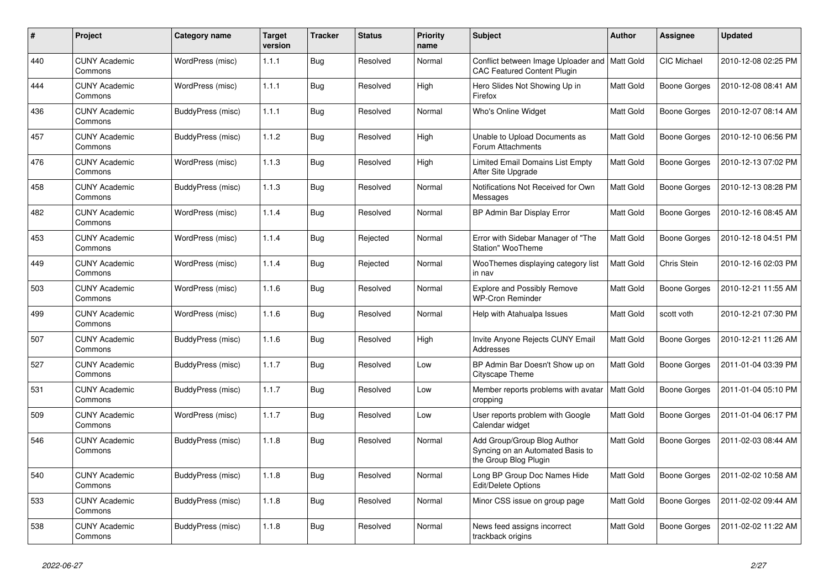| #   | Project                         | Category name     | <b>Target</b><br>version | <b>Tracker</b> | <b>Status</b> | <b>Priority</b><br>name | <b>Subject</b>                                                                           | Author    | Assignee            | <b>Updated</b>      |
|-----|---------------------------------|-------------------|--------------------------|----------------|---------------|-------------------------|------------------------------------------------------------------------------------------|-----------|---------------------|---------------------|
| 440 | <b>CUNY Academic</b><br>Commons | WordPress (misc)  | 1.1.1                    | <b>Bug</b>     | Resolved      | Normal                  | Conflict between Image Uploader and<br><b>CAC Featured Content Plugin</b>                | Matt Gold | <b>CIC Michael</b>  | 2010-12-08 02:25 PM |
| 444 | <b>CUNY Academic</b><br>Commons | WordPress (misc)  | 1.1.1                    | Bug            | Resolved      | High                    | Hero Slides Not Showing Up in<br>Firefox                                                 | Matt Gold | Boone Gorges        | 2010-12-08 08:41 AM |
| 436 | <b>CUNY Academic</b><br>Commons | BuddyPress (misc) | 1.1.1                    | <b>Bug</b>     | Resolved      | Normal                  | Who's Online Widget                                                                      | Matt Gold | <b>Boone Gorges</b> | 2010-12-07 08:14 AM |
| 457 | <b>CUNY Academic</b><br>Commons | BuddyPress (misc) | 1.1.2                    | <b>Bug</b>     | Resolved      | High                    | Unable to Upload Documents as<br>Forum Attachments                                       | Matt Gold | <b>Boone Gorges</b> | 2010-12-10 06:56 PM |
| 476 | <b>CUNY Academic</b><br>Commons | WordPress (misc)  | 1.1.3                    | <b>Bug</b>     | Resolved      | High                    | Limited Email Domains List Empty<br>After Site Upgrade                                   | Matt Gold | <b>Boone Gorges</b> | 2010-12-13 07:02 PM |
| 458 | <b>CUNY Academic</b><br>Commons | BuddyPress (misc) | 1.1.3                    | <b>Bug</b>     | Resolved      | Normal                  | Notifications Not Received for Own<br>Messages                                           | Matt Gold | <b>Boone Gorges</b> | 2010-12-13 08:28 PM |
| 482 | <b>CUNY Academic</b><br>Commons | WordPress (misc)  | 1.1.4                    | Bug            | Resolved      | Normal                  | BP Admin Bar Display Error                                                               | Matt Gold | <b>Boone Gorges</b> | 2010-12-16 08:45 AM |
| 453 | <b>CUNY Academic</b><br>Commons | WordPress (misc)  | 1.1.4                    | Bug            | Rejected      | Normal                  | Error with Sidebar Manager of "The<br>Station" WooTheme                                  | Matt Gold | <b>Boone Gorges</b> | 2010-12-18 04:51 PM |
| 449 | <b>CUNY Academic</b><br>Commons | WordPress (misc)  | 1.1.4                    | <b>Bug</b>     | Rejected      | Normal                  | WooThemes displaying category list<br>in nav                                             | Matt Gold | Chris Stein         | 2010-12-16 02:03 PM |
| 503 | <b>CUNY Academic</b><br>Commons | WordPress (misc)  | 1.1.6                    | Bug            | Resolved      | Normal                  | <b>Explore and Possibly Remove</b><br><b>WP-Cron Reminder</b>                            | Matt Gold | <b>Boone Gorges</b> | 2010-12-21 11:55 AM |
| 499 | <b>CUNY Academic</b><br>Commons | WordPress (misc)  | 1.1.6                    | <b>Bug</b>     | Resolved      | Normal                  | Help with Atahualpa Issues                                                               | Matt Gold | scott voth          | 2010-12-21 07:30 PM |
| 507 | <b>CUNY Academic</b><br>Commons | BuddyPress (misc) | 1.1.6                    | <b>Bug</b>     | Resolved      | High                    | Invite Anyone Rejects CUNY Email<br>Addresses                                            | Matt Gold | <b>Boone Gorges</b> | 2010-12-21 11:26 AM |
| 527 | <b>CUNY Academic</b><br>Commons | BuddyPress (misc) | 1.1.7                    | Bug            | Resolved      | Low                     | BP Admin Bar Doesn't Show up on<br><b>Cityscape Theme</b>                                | Matt Gold | <b>Boone Gorges</b> | 2011-01-04 03:39 PM |
| 531 | <b>CUNY Academic</b><br>Commons | BuddyPress (misc) | 1.1.7                    | Bug            | Resolved      | Low                     | Member reports problems with avatar<br>cropping                                          | Matt Gold | <b>Boone Gorges</b> | 2011-01-04 05:10 PM |
| 509 | <b>CUNY Academic</b><br>Commons | WordPress (misc)  | 1.1.7                    | <b>Bug</b>     | Resolved      | Low                     | User reports problem with Google<br>Calendar widget                                      | Matt Gold | <b>Boone Gorges</b> | 2011-01-04 06:17 PM |
| 546 | <b>CUNY Academic</b><br>Commons | BuddyPress (misc) | 1.1.8                    | <b>Bug</b>     | Resolved      | Normal                  | Add Group/Group Blog Author<br>Syncing on an Automated Basis to<br>the Group Blog Plugin | Matt Gold | <b>Boone Gorges</b> | 2011-02-03 08:44 AM |
| 540 | <b>CUNY Academic</b><br>Commons | BuddyPress (misc) | 1.1.8                    | <b>Bug</b>     | Resolved      | Normal                  | Long BP Group Doc Names Hide<br>Edit/Delete Options                                      | Matt Gold | <b>Boone Gorges</b> | 2011-02-02 10:58 AM |
| 533 | <b>CUNY Academic</b><br>Commons | BuddyPress (misc) | 1.1.8                    | <b>Bug</b>     | Resolved      | Normal                  | Minor CSS issue on group page                                                            | Matt Gold | <b>Boone Gorges</b> | 2011-02-02 09:44 AM |
| 538 | <b>CUNY Academic</b><br>Commons | BuddyPress (misc) | 1.1.8                    | <b>Bug</b>     | Resolved      | Normal                  | News feed assigns incorrect<br>trackback origins                                         | Matt Gold | <b>Boone Gorges</b> | 2011-02-02 11:22 AM |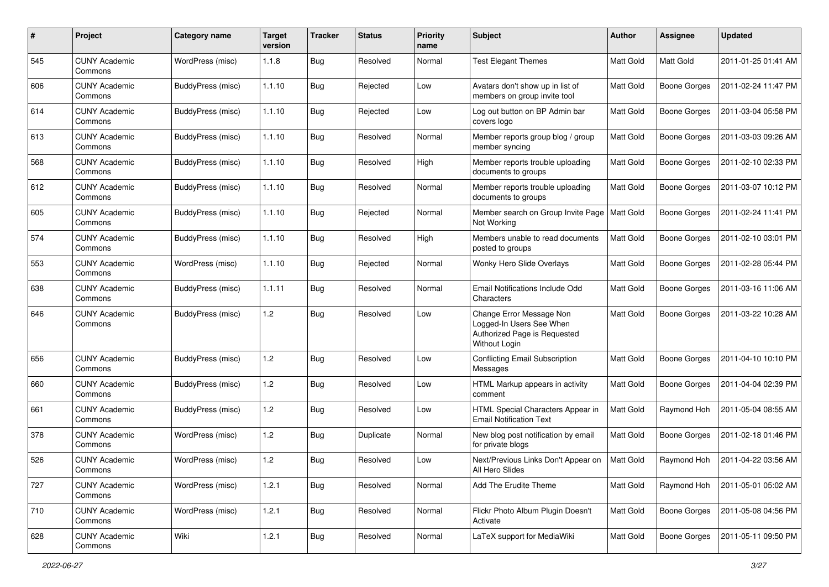| #   | Project                         | Category name     | <b>Target</b><br>version | <b>Tracker</b> | <b>Status</b> | <b>Priority</b><br>name | Subject                                                                                               | Author    | Assignee            | <b>Updated</b>      |
|-----|---------------------------------|-------------------|--------------------------|----------------|---------------|-------------------------|-------------------------------------------------------------------------------------------------------|-----------|---------------------|---------------------|
| 545 | <b>CUNY Academic</b><br>Commons | WordPress (misc)  | 1.1.8                    | <b>Bug</b>     | Resolved      | Normal                  | <b>Test Elegant Themes</b>                                                                            | Matt Gold | Matt Gold           | 2011-01-25 01:41 AM |
| 606 | <b>CUNY Academic</b><br>Commons | BuddyPress (misc) | 1.1.10                   | <b>Bug</b>     | Rejected      | Low                     | Avatars don't show up in list of<br>members on group invite tool                                      | Matt Gold | <b>Boone Gorges</b> | 2011-02-24 11:47 PM |
| 614 | <b>CUNY Academic</b><br>Commons | BuddyPress (misc) | 1.1.10                   | Bug            | Rejected      | Low                     | Log out button on BP Admin bar<br>covers logo                                                         | Matt Gold | <b>Boone Gorges</b> | 2011-03-04 05:58 PM |
| 613 | <b>CUNY Academic</b><br>Commons | BuddyPress (misc) | 1.1.10                   | <b>Bug</b>     | Resolved      | Normal                  | Member reports group blog / group<br>member syncing                                                   | Matt Gold | <b>Boone Gorges</b> | 2011-03-03 09:26 AM |
| 568 | CUNY Academic<br>Commons        | BuddyPress (misc) | 1.1.10                   | <b>Bug</b>     | Resolved      | High                    | Member reports trouble uploading<br>documents to groups                                               | Matt Gold | <b>Boone Gorges</b> | 2011-02-10 02:33 PM |
| 612 | <b>CUNY Academic</b><br>Commons | BuddyPress (misc) | 1.1.10                   | <b>Bug</b>     | Resolved      | Normal                  | Member reports trouble uploading<br>documents to groups                                               | Matt Gold | Boone Gorges        | 2011-03-07 10:12 PM |
| 605 | <b>CUNY Academic</b><br>Commons | BuddyPress (misc) | 1.1.10                   | Bug            | Rejected      | Normal                  | Member search on Group Invite Page<br>Not Working                                                     | Matt Gold | <b>Boone Gorges</b> | 2011-02-24 11:41 PM |
| 574 | <b>CUNY Academic</b><br>Commons | BuddyPress (misc) | 1.1.10                   | Bug            | Resolved      | High                    | Members unable to read documents<br>posted to groups                                                  | Matt Gold | <b>Boone Gorges</b> | 2011-02-10 03:01 PM |
| 553 | <b>CUNY Academic</b><br>Commons | WordPress (misc)  | 1.1.10                   | Bug            | Rejected      | Normal                  | Wonky Hero Slide Overlays                                                                             | Matt Gold | <b>Boone Gorges</b> | 2011-02-28 05:44 PM |
| 638 | <b>CUNY Academic</b><br>Commons | BuddyPress (misc) | 1.1.11                   | Bug            | Resolved      | Normal                  | Email Notifications Include Odd<br>Characters                                                         | Matt Gold | <b>Boone Gorges</b> | 2011-03-16 11:06 AM |
| 646 | <b>CUNY Academic</b><br>Commons | BuddyPress (misc) | 1.2                      | Bug            | Resolved      | Low                     | Change Error Message Non<br>Logged-In Users See When<br>Authorized Page is Requested<br>Without Login | Matt Gold | <b>Boone Gorges</b> | 2011-03-22 10:28 AM |
| 656 | <b>CUNY Academic</b><br>Commons | BuddyPress (misc) | 1.2                      | <b>Bug</b>     | Resolved      | Low                     | <b>Conflicting Email Subscription</b><br>Messages                                                     | Matt Gold | <b>Boone Gorges</b> | 2011-04-10 10:10 PM |
| 660 | <b>CUNY Academic</b><br>Commons | BuddyPress (misc) | 1.2                      | <b>Bug</b>     | Resolved      | Low                     | HTML Markup appears in activity<br>comment                                                            | Matt Gold | <b>Boone Gorges</b> | 2011-04-04 02:39 PM |
| 661 | <b>CUNY Academic</b><br>Commons | BuddyPress (misc) | 1.2                      | <b>Bug</b>     | Resolved      | Low                     | HTML Special Characters Appear in<br><b>Email Notification Text</b>                                   | Matt Gold | Raymond Hoh         | 2011-05-04 08:55 AM |
| 378 | <b>CUNY Academic</b><br>Commons | WordPress (misc)  | 1.2                      | <b>Bug</b>     | Duplicate     | Normal                  | New blog post notification by email<br>for private blogs                                              | Matt Gold | <b>Boone Gorges</b> | 2011-02-18 01:46 PM |
| 526 | <b>CUNY Academic</b><br>Commons | WordPress (misc)  | 1.2                      | <b>Bug</b>     | Resolved      | Low                     | Next/Previous Links Don't Appear on<br>All Hero Slides                                                | Matt Gold | Raymond Hoh         | 2011-04-22 03:56 AM |
| 727 | <b>CUNY Academic</b><br>Commons | WordPress (misc)  | 1.2.1                    | Bug            | Resolved      | Normal                  | Add The Erudite Theme                                                                                 | Matt Gold | Raymond Hoh         | 2011-05-01 05:02 AM |
| 710 | <b>CUNY Academic</b><br>Commons | WordPress (misc)  | 1.2.1                    | <b>Bug</b>     | Resolved      | Normal                  | Flickr Photo Album Plugin Doesn't<br>Activate                                                         | Matt Gold | <b>Boone Gorges</b> | 2011-05-08 04:56 PM |
| 628 | <b>CUNY Academic</b><br>Commons | Wiki              | 1.2.1                    | Bug            | Resolved      | Normal                  | LaTeX support for MediaWiki                                                                           | Matt Gold | <b>Boone Gorges</b> | 2011-05-11 09:50 PM |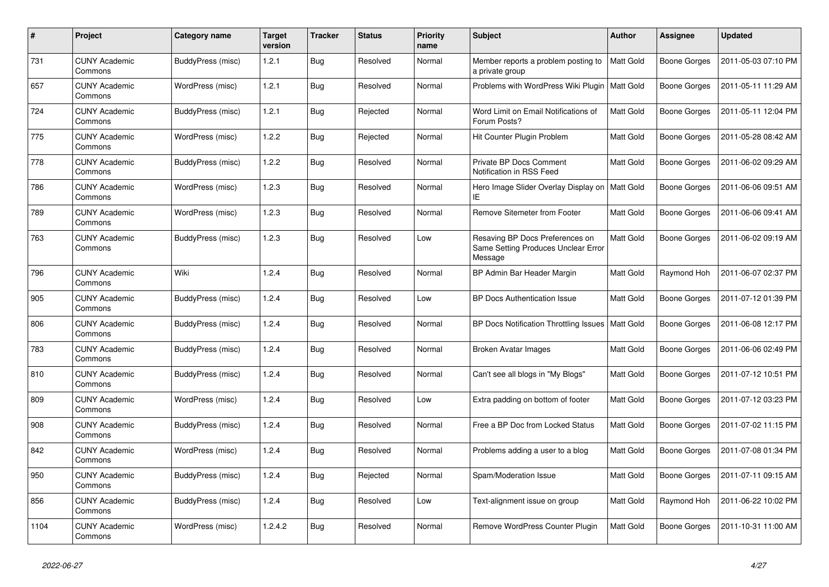| #    | Project                         | Category name     | <b>Target</b><br>version | <b>Tracker</b> | <b>Status</b> | <b>Priority</b><br>name | <b>Subject</b>                                                                    | Author    | Assignee            | <b>Updated</b>      |
|------|---------------------------------|-------------------|--------------------------|----------------|---------------|-------------------------|-----------------------------------------------------------------------------------|-----------|---------------------|---------------------|
| 731  | <b>CUNY Academic</b><br>Commons | BuddyPress (misc) | 1.2.1                    | <b>Bug</b>     | Resolved      | Normal                  | Member reports a problem posting to<br>a private group                            | Matt Gold | <b>Boone Gorges</b> | 2011-05-03 07:10 PM |
| 657  | <b>CUNY Academic</b><br>Commons | WordPress (misc)  | 1.2.1                    | Bug            | Resolved      | Normal                  | Problems with WordPress Wiki Plugin   Matt Gold                                   |           | Boone Gorges        | 2011-05-11 11:29 AM |
| 724  | <b>CUNY Academic</b><br>Commons | BuddyPress (misc) | 1.2.1                    | <b>Bug</b>     | Rejected      | Normal                  | Word Limit on Email Notifications of<br>Forum Posts?                              | Matt Gold | <b>Boone Gorges</b> | 2011-05-11 12:04 PM |
| 775  | <b>CUNY Academic</b><br>Commons | WordPress (misc)  | 1.2.2                    | <b>Bug</b>     | Rejected      | Normal                  | Hit Counter Plugin Problem                                                        | Matt Gold | <b>Boone Gorges</b> | 2011-05-28 08:42 AM |
| 778  | <b>CUNY Academic</b><br>Commons | BuddyPress (misc) | 1.2.2                    | <b>Bug</b>     | Resolved      | Normal                  | Private BP Docs Comment<br>Notification in RSS Feed                               | Matt Gold | Boone Gorges        | 2011-06-02 09:29 AM |
| 786  | <b>CUNY Academic</b><br>Commons | WordPress (misc)  | 1.2.3                    | <b>Bug</b>     | Resolved      | Normal                  | Hero Image Slider Overlay Display on<br>ΙEΙ                                       | Matt Gold | <b>Boone Gorges</b> | 2011-06-06 09:51 AM |
| 789  | <b>CUNY Academic</b><br>Commons | WordPress (misc)  | 1.2.3                    | <b>Bug</b>     | Resolved      | Normal                  | Remove Sitemeter from Footer                                                      | Matt Gold | <b>Boone Gorges</b> | 2011-06-06 09:41 AM |
| 763  | <b>CUNY Academic</b><br>Commons | BuddyPress (misc) | 1.2.3                    | <b>Bug</b>     | Resolved      | Low                     | Resaving BP Docs Preferences on<br>Same Setting Produces Unclear Error<br>Message | Matt Gold | <b>Boone Gorges</b> | 2011-06-02 09:19 AM |
| 796  | <b>CUNY Academic</b><br>Commons | Wiki              | 1.2.4                    | <b>Bug</b>     | Resolved      | Normal                  | BP Admin Bar Header Margin                                                        | Matt Gold | Raymond Hoh         | 2011-06-07 02:37 PM |
| 905  | <b>CUNY Academic</b><br>Commons | BuddyPress (misc) | 1.2.4                    | Bug            | Resolved      | Low                     | <b>BP Docs Authentication Issue</b>                                               | Matt Gold | <b>Boone Gorges</b> | 2011-07-12 01:39 PM |
| 806  | <b>CUNY Academic</b><br>Commons | BuddyPress (misc) | 1.2.4                    | <b>Bug</b>     | Resolved      | Normal                  | BP Docs Notification Throttling Issues                                            | Matt Gold | Boone Gorges        | 2011-06-08 12:17 PM |
| 783  | <b>CUNY Academic</b><br>Commons | BuddyPress (misc) | 1.2.4                    | <b>Bug</b>     | Resolved      | Normal                  | Broken Avatar Images                                                              | Matt Gold | <b>Boone Gorges</b> | 2011-06-06 02:49 PM |
| 810  | <b>CUNY Academic</b><br>Commons | BuddyPress (misc) | 1.2.4                    | <b>Bug</b>     | Resolved      | Normal                  | Can't see all blogs in "My Blogs"                                                 | Matt Gold | <b>Boone Gorges</b> | 2011-07-12 10:51 PM |
| 809  | <b>CUNY Academic</b><br>Commons | WordPress (misc)  | 1.2.4                    | Bug            | Resolved      | Low                     | Extra padding on bottom of footer                                                 | Matt Gold | <b>Boone Gorges</b> | 2011-07-12 03:23 PM |
| 908  | <b>CUNY Academic</b><br>Commons | BuddyPress (misc) | 1.2.4                    | <b>Bug</b>     | Resolved      | Normal                  | Free a BP Doc from Locked Status                                                  | Matt Gold | <b>Boone Gorges</b> | 2011-07-02 11:15 PM |
| 842  | <b>CUNY Academic</b><br>Commons | WordPress (misc)  | 1.2.4                    | <b>Bug</b>     | Resolved      | Normal                  | Problems adding a user to a blog                                                  | Matt Gold | <b>Boone Gorges</b> | 2011-07-08 01:34 PM |
| 950  | <b>CUNY Academic</b><br>Commons | BuddyPress (misc) | 1.2.4                    | Bug            | Rejected      | Normal                  | Spam/Moderation Issue                                                             | Matt Gold | <b>Boone Gorges</b> | 2011-07-11 09:15 AM |
| 856  | <b>CUNY Academic</b><br>Commons | BuddyPress (misc) | 1.2.4                    | <b>Bug</b>     | Resolved      | Low                     | Text-alignment issue on group                                                     | Matt Gold | Raymond Hoh         | 2011-06-22 10:02 PM |
| 1104 | <b>CUNY Academic</b><br>Commons | WordPress (misc)  | 1.2.4.2                  | Bug            | Resolved      | Normal                  | Remove WordPress Counter Plugin                                                   | Matt Gold | <b>Boone Gorges</b> | 2011-10-31 11:00 AM |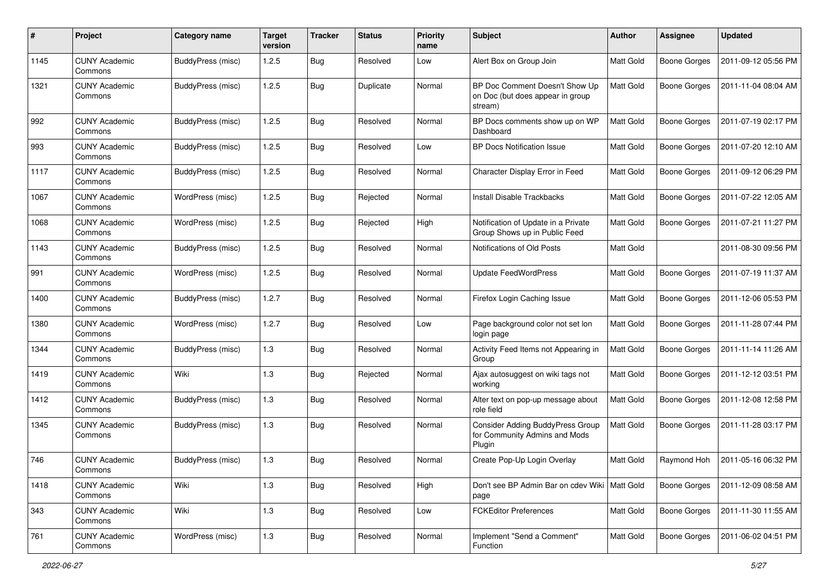| #    | Project                         | Category name     | <b>Target</b><br>version | <b>Tracker</b> | <b>Status</b> | <b>Priority</b><br>name | <b>Subject</b>                                                                | Author           | <b>Assignee</b>     | <b>Updated</b>      |
|------|---------------------------------|-------------------|--------------------------|----------------|---------------|-------------------------|-------------------------------------------------------------------------------|------------------|---------------------|---------------------|
| 1145 | <b>CUNY Academic</b><br>Commons | BuddyPress (misc) | 1.2.5                    | <b>Bug</b>     | Resolved      | Low                     | Alert Box on Group Join                                                       | <b>Matt Gold</b> | <b>Boone Gorges</b> | 2011-09-12 05:56 PM |
| 1321 | <b>CUNY Academic</b><br>Commons | BuddyPress (misc) | 1.2.5                    | <b>Bug</b>     | Duplicate     | Normal                  | BP Doc Comment Doesn't Show Up<br>on Doc (but does appear in group<br>stream) | Matt Gold        | <b>Boone Gorges</b> | 2011-11-04 08:04 AM |
| 992  | <b>CUNY Academic</b><br>Commons | BuddyPress (misc) | 1.2.5                    | <b>Bug</b>     | Resolved      | Normal                  | BP Docs comments show up on WP<br>Dashboard                                   | Matt Gold        | <b>Boone Gorges</b> | 2011-07-19 02:17 PM |
| 993  | <b>CUNY Academic</b><br>Commons | BuddyPress (misc) | 1.2.5                    | <b>Bug</b>     | Resolved      | Low                     | <b>BP Docs Notification Issue</b>                                             | Matt Gold        | <b>Boone Gorges</b> | 2011-07-20 12:10 AM |
| 1117 | <b>CUNY Academic</b><br>Commons | BuddyPress (misc) | 1.2.5                    | <b>Bug</b>     | Resolved      | Normal                  | Character Display Error in Feed                                               | Matt Gold        | <b>Boone Gorges</b> | 2011-09-12 06:29 PM |
| 1067 | <b>CUNY Academic</b><br>Commons | WordPress (misc)  | 1.2.5                    | <b>Bug</b>     | Rejected      | Normal                  | Install Disable Trackbacks                                                    | Matt Gold        | <b>Boone Gorges</b> | 2011-07-22 12:05 AM |
| 1068 | <b>CUNY Academic</b><br>Commons | WordPress (misc)  | 1.2.5                    | <b>Bug</b>     | Rejected      | High                    | Notification of Update in a Private<br>Group Shows up in Public Feed          | Matt Gold        | <b>Boone Gorges</b> | 2011-07-21 11:27 PM |
| 1143 | <b>CUNY Academic</b><br>Commons | BuddyPress (misc) | 1.2.5                    | <b>Bug</b>     | Resolved      | Normal                  | Notifications of Old Posts                                                    | Matt Gold        |                     | 2011-08-30 09:56 PM |
| 991  | <b>CUNY Academic</b><br>Commons | WordPress (misc)  | 1.2.5                    | <b>Bug</b>     | Resolved      | Normal                  | <b>Update FeedWordPress</b>                                                   | <b>Matt Gold</b> | <b>Boone Gorges</b> | 2011-07-19 11:37 AM |
| 1400 | <b>CUNY Academic</b><br>Commons | BuddyPress (misc) | 1.2.7                    | <b>Bug</b>     | Resolved      | Normal                  | Firefox Login Caching Issue                                                   | Matt Gold        | <b>Boone Gorges</b> | 2011-12-06 05:53 PM |
| 1380 | <b>CUNY Academic</b><br>Commons | WordPress (misc)  | 1.2.7                    | <b>Bug</b>     | Resolved      | Low                     | Page background color not set lon<br>login page                               | Matt Gold        | <b>Boone Gorges</b> | 2011-11-28 07:44 PM |
| 1344 | <b>CUNY Academic</b><br>Commons | BuddyPress (misc) | 1.3                      | <b>Bug</b>     | Resolved      | Normal                  | Activity Feed Items not Appearing in<br>Group                                 | Matt Gold        | <b>Boone Gorges</b> | 2011-11-14 11:26 AM |
| 1419 | <b>CUNY Academic</b><br>Commons | Wiki              | 1.3                      | <b>Bug</b>     | Rejected      | Normal                  | Ajax autosuggest on wiki tags not<br>working                                  | Matt Gold        | <b>Boone Gorges</b> | 2011-12-12 03:51 PM |
| 1412 | <b>CUNY Academic</b><br>Commons | BuddyPress (misc) | 1.3                      | <b>Bug</b>     | Resolved      | Normal                  | Alter text on pop-up message about<br>role field                              | Matt Gold        | <b>Boone Gorges</b> | 2011-12-08 12:58 PM |
| 1345 | <b>CUNY Academic</b><br>Commons | BuddyPress (misc) | 1.3                      | <b>Bug</b>     | Resolved      | Normal                  | Consider Adding BuddyPress Group<br>for Community Admins and Mods<br>Plugin   | Matt Gold        | <b>Boone Gorges</b> | 2011-11-28 03:17 PM |
| 746  | <b>CUNY Academic</b><br>Commons | BuddyPress (misc) | 1.3                      | <b>Bug</b>     | Resolved      | Normal                  | Create Pop-Up Login Overlay                                                   | Matt Gold        | Raymond Hoh         | 2011-05-16 06:32 PM |
| 1418 | <b>CUNY Academic</b><br>Commons | Wiki              | $1.3$                    | <b>Bug</b>     | Resolved      | High                    | Don't see BP Admin Bar on cdev Wiki   Matt Gold<br>page                       |                  | Boone Gorges        | 2011-12-09 08:58 AM |
| 343  | <b>CUNY Academic</b><br>Commons | Wiki              | 1.3                      | <b>Bug</b>     | Resolved      | Low                     | <b>FCKEditor Preferences</b>                                                  | Matt Gold        | <b>Boone Gorges</b> | 2011-11-30 11:55 AM |
| 761  | <b>CUNY Academic</b><br>Commons | WordPress (misc)  | $1.3$                    | <b>Bug</b>     | Resolved      | Normal                  | Implement "Send a Comment"<br>Function                                        | Matt Gold        | <b>Boone Gorges</b> | 2011-06-02 04:51 PM |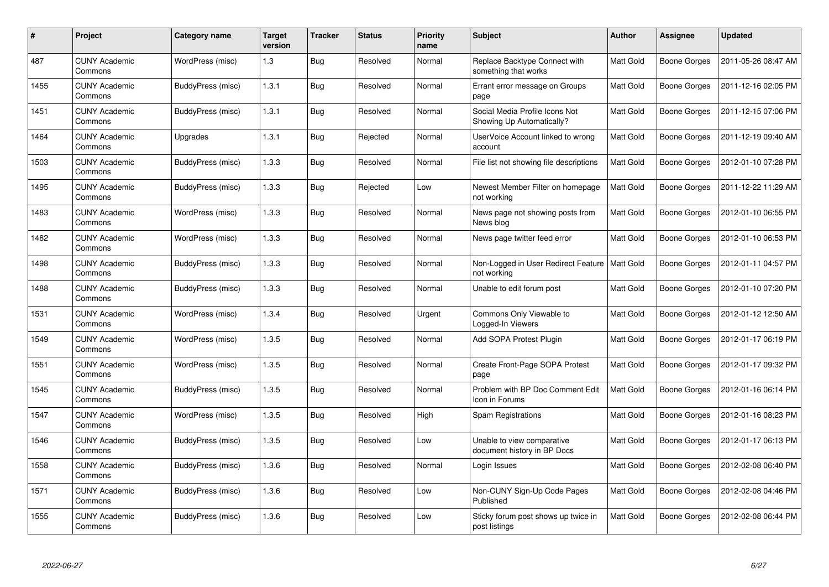| $\#$ | Project                         | <b>Category name</b> | <b>Target</b><br>version | <b>Tracker</b> | <b>Status</b> | <b>Priority</b><br>name | Subject                                                     | <b>Author</b> | Assignee            | <b>Updated</b>      |
|------|---------------------------------|----------------------|--------------------------|----------------|---------------|-------------------------|-------------------------------------------------------------|---------------|---------------------|---------------------|
| 487  | <b>CUNY Academic</b><br>Commons | WordPress (misc)     | 1.3                      | <b>Bug</b>     | Resolved      | Normal                  | Replace Backtype Connect with<br>something that works       | Matt Gold     | <b>Boone Gorges</b> | 2011-05-26 08:47 AM |
| 1455 | <b>CUNY Academic</b><br>Commons | BuddyPress (misc)    | 1.3.1                    | Bug            | Resolved      | Normal                  | Errant error message on Groups<br>page                      | Matt Gold     | Boone Gorges        | 2011-12-16 02:05 PM |
| 1451 | <b>CUNY Academic</b><br>Commons | BuddyPress (misc)    | 1.3.1                    | Bug            | Resolved      | Normal                  | Social Media Profile Icons Not<br>Showing Up Automatically? | Matt Gold     | Boone Gorges        | 2011-12-15 07:06 PM |
| 1464 | <b>CUNY Academic</b><br>Commons | Upgrades             | 1.3.1                    | Bug            | Rejected      | Normal                  | UserVoice Account linked to wrong<br>account                | Matt Gold     | Boone Gorges        | 2011-12-19 09:40 AM |
| 1503 | <b>CUNY Academic</b><br>Commons | BuddyPress (misc)    | 1.3.3                    | Bug            | Resolved      | Normal                  | File list not showing file descriptions                     | Matt Gold     | <b>Boone Gorges</b> | 2012-01-10 07:28 PM |
| 1495 | <b>CUNY Academic</b><br>Commons | BuddyPress (misc)    | 1.3.3                    | Bug            | Rejected      | Low                     | Newest Member Filter on homepage<br>not working             | Matt Gold     | Boone Gorges        | 2011-12-22 11:29 AM |
| 1483 | <b>CUNY Academic</b><br>Commons | WordPress (misc)     | 1.3.3                    | Bug            | Resolved      | Normal                  | News page not showing posts from<br>News blog               | Matt Gold     | <b>Boone Gorges</b> | 2012-01-10 06:55 PM |
| 1482 | <b>CUNY Academic</b><br>Commons | WordPress (misc)     | 1.3.3                    | Bug            | Resolved      | Normal                  | News page twitter feed error                                | Matt Gold     | Boone Gorges        | 2012-01-10 06:53 PM |
| 1498 | <b>CUNY Academic</b><br>Commons | BuddyPress (misc)    | 1.3.3                    | Bug            | Resolved      | Normal                  | Non-Logged in User Redirect Feature<br>not working          | Matt Gold     | <b>Boone Gorges</b> | 2012-01-11 04:57 PM |
| 1488 | <b>CUNY Academic</b><br>Commons | BuddyPress (misc)    | 1.3.3                    | <b>Bug</b>     | Resolved      | Normal                  | Unable to edit forum post                                   | Matt Gold     | Boone Gorges        | 2012-01-10 07:20 PM |
| 1531 | <b>CUNY Academic</b><br>Commons | WordPress (misc)     | 1.3.4                    | Bug            | Resolved      | Urgent                  | Commons Only Viewable to<br>Logged-In Viewers               | Matt Gold     | Boone Gorges        | 2012-01-12 12:50 AM |
| 1549 | <b>CUNY Academic</b><br>Commons | WordPress (misc)     | 1.3.5                    | <b>Bug</b>     | Resolved      | Normal                  | Add SOPA Protest Plugin                                     | Matt Gold     | Boone Gorges        | 2012-01-17 06:19 PM |
| 1551 | <b>CUNY Academic</b><br>Commons | WordPress (misc)     | 1.3.5                    | <b>Bug</b>     | Resolved      | Normal                  | Create Front-Page SOPA Protest<br>page                      | Matt Gold     | Boone Gorges        | 2012-01-17 09:32 PM |
| 1545 | <b>CUNY Academic</b><br>Commons | BuddyPress (misc)    | 1.3.5                    | Bug            | Resolved      | Normal                  | Problem with BP Doc Comment Edit<br>Icon in Forums          | Matt Gold     | <b>Boone Gorges</b> | 2012-01-16 06:14 PM |
| 1547 | <b>CUNY Academic</b><br>Commons | WordPress (misc)     | 1.3.5                    | Bug            | Resolved      | High                    | <b>Spam Registrations</b>                                   | Matt Gold     | Boone Gorges        | 2012-01-16 08:23 PM |
| 1546 | <b>CUNY Academic</b><br>Commons | BuddyPress (misc)    | 1.3.5                    | Bug            | Resolved      | Low                     | Unable to view comparative<br>document history in BP Docs   | Matt Gold     | Boone Gorges        | 2012-01-17 06:13 PM |
| 1558 | <b>CUNY Academic</b><br>Commons | BuddyPress (misc)    | 1.3.6                    | Bug            | Resolved      | Normal                  | Login Issues                                                | Matt Gold     | Boone Gorges        | 2012-02-08 06:40 PM |
| 1571 | <b>CUNY Academic</b><br>Commons | BuddyPress (misc)    | 1.3.6                    | Bug            | Resolved      | Low                     | Non-CUNY Sign-Up Code Pages<br>Published                    | Matt Gold     | Boone Gorges        | 2012-02-08 04:46 PM |
| 1555 | <b>CUNY Academic</b><br>Commons | BuddyPress (misc)    | 1.3.6                    | Bug            | Resolved      | Low                     | Sticky forum post shows up twice in<br>post listings        | Matt Gold     | Boone Gorges        | 2012-02-08 06:44 PM |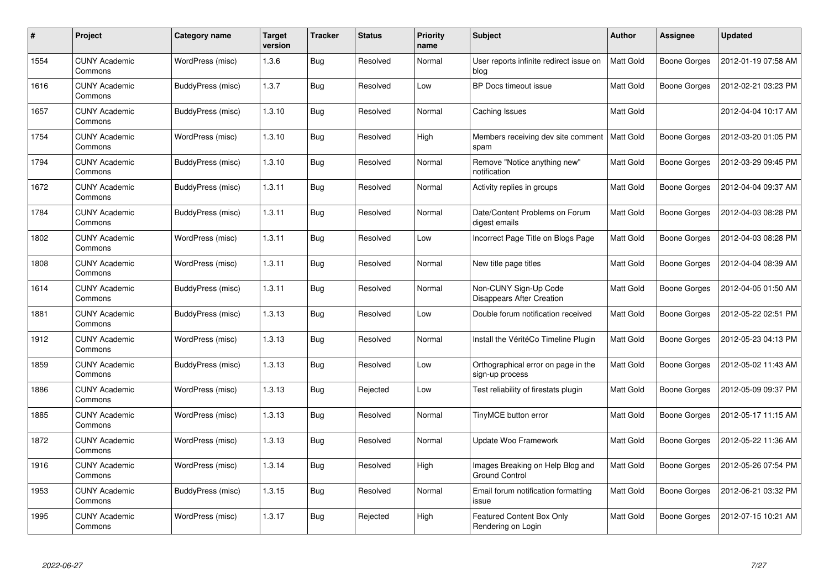| #    | Project                         | Category name     | <b>Target</b><br>version | <b>Tracker</b> | <b>Status</b> | <b>Priority</b><br>name | <b>Subject</b>                                            | <b>Author</b> | Assignee            | <b>Updated</b>      |
|------|---------------------------------|-------------------|--------------------------|----------------|---------------|-------------------------|-----------------------------------------------------------|---------------|---------------------|---------------------|
| 1554 | <b>CUNY Academic</b><br>Commons | WordPress (misc)  | 1.3.6                    | <b>Bug</b>     | Resolved      | Normal                  | User reports infinite redirect issue on<br>blog           | Matt Gold     | <b>Boone Gorges</b> | 2012-01-19 07:58 AM |
| 1616 | <b>CUNY Academic</b><br>Commons | BuddyPress (misc) | 1.3.7                    | <b>Bug</b>     | Resolved      | Low                     | BP Docs timeout issue                                     | Matt Gold     | <b>Boone Gorges</b> | 2012-02-21 03:23 PM |
| 1657 | <b>CUNY Academic</b><br>Commons | BuddyPress (misc) | 1.3.10                   | <b>Bug</b>     | Resolved      | Normal                  | Caching Issues                                            | Matt Gold     |                     | 2012-04-04 10:17 AM |
| 1754 | <b>CUNY Academic</b><br>Commons | WordPress (misc)  | 1.3.10                   | <b>Bug</b>     | Resolved      | High                    | Members receiving dev site comment<br>spam                | Matt Gold     | Boone Gorges        | 2012-03-20 01:05 PM |
| 1794 | <b>CUNY Academic</b><br>Commons | BuddyPress (misc) | 1.3.10                   | <b>Bug</b>     | Resolved      | Normal                  | Remove "Notice anything new"<br>notification              | Matt Gold     | <b>Boone Gorges</b> | 2012-03-29 09:45 PM |
| 1672 | <b>CUNY Academic</b><br>Commons | BuddyPress (misc) | 1.3.11                   | <b>Bug</b>     | Resolved      | Normal                  | Activity replies in groups                                | Matt Gold     | Boone Gorges        | 2012-04-04 09:37 AM |
| 1784 | <b>CUNY Academic</b><br>Commons | BuddyPress (misc) | 1.3.11                   | <b>Bug</b>     | Resolved      | Normal                  | Date/Content Problems on Forum<br>digest emails           | Matt Gold     | <b>Boone Gorges</b> | 2012-04-03 08:28 PM |
| 1802 | <b>CUNY Academic</b><br>Commons | WordPress (misc)  | 1.3.11                   | <b>Bug</b>     | Resolved      | Low                     | Incorrect Page Title on Blogs Page                        | Matt Gold     | <b>Boone Gorges</b> | 2012-04-03 08:28 PM |
| 1808 | <b>CUNY Academic</b><br>Commons | WordPress (misc)  | 1.3.11                   | <b>Bug</b>     | Resolved      | Normal                  | New title page titles                                     | Matt Gold     | <b>Boone Gorges</b> | 2012-04-04 08:39 AM |
| 1614 | <b>CUNY Academic</b><br>Commons | BuddyPress (misc) | 1.3.11                   | Bug            | Resolved      | Normal                  | Non-CUNY Sign-Up Code<br><b>Disappears After Creation</b> | Matt Gold     | <b>Boone Gorges</b> | 2012-04-05 01:50 AM |
| 1881 | <b>CUNY Academic</b><br>Commons | BuddyPress (misc) | 1.3.13                   | <b>Bug</b>     | Resolved      | Low                     | Double forum notification received                        | Matt Gold     | <b>Boone Gorges</b> | 2012-05-22 02:51 PM |
| 1912 | <b>CUNY Academic</b><br>Commons | WordPress (misc)  | 1.3.13                   | <b>Bug</b>     | Resolved      | Normal                  | Install the VéritéCo Timeline Plugin                      | Matt Gold     | <b>Boone Gorges</b> | 2012-05-23 04:13 PM |
| 1859 | <b>CUNY Academic</b><br>Commons | BuddyPress (misc) | 1.3.13                   | <b>Bug</b>     | Resolved      | Low                     | Orthographical error on page in the<br>sign-up process    | Matt Gold     | Boone Gorges        | 2012-05-02 11:43 AM |
| 1886 | <b>CUNY Academic</b><br>Commons | WordPress (misc)  | 1.3.13                   | <b>Bug</b>     | Rejected      | Low                     | Test reliability of firestats plugin                      | Matt Gold     | <b>Boone Gorges</b> | 2012-05-09 09:37 PM |
| 1885 | <b>CUNY Academic</b><br>Commons | WordPress (misc)  | 1.3.13                   | Bug            | Resolved      | Normal                  | TinyMCE button error                                      | Matt Gold     | Boone Gorges        | 2012-05-17 11:15 AM |
| 1872 | <b>CUNY Academic</b><br>Commons | WordPress (misc)  | 1.3.13                   | <b>Bug</b>     | Resolved      | Normal                  | Update Woo Framework                                      | Matt Gold     | <b>Boone Gorges</b> | 2012-05-22 11:36 AM |
| 1916 | <b>CUNY Academic</b><br>Commons | WordPress (misc)  | 1.3.14                   | <b>Bug</b>     | Resolved      | High                    | Images Breaking on Help Blog and<br><b>Ground Control</b> | Matt Gold     | <b>Boone Gorges</b> | 2012-05-26 07:54 PM |
| 1953 | <b>CUNY Academic</b><br>Commons | BuddyPress (misc) | 1.3.15                   | <b>Bug</b>     | Resolved      | Normal                  | Email forum notification formatting<br>issue              | Matt Gold     | <b>Boone Gorges</b> | 2012-06-21 03:32 PM |
| 1995 | <b>CUNY Academic</b><br>Commons | WordPress (misc)  | 1.3.17                   | <b>Bug</b>     | Rejected      | High                    | <b>Featured Content Box Only</b><br>Rendering on Login    | Matt Gold     | Boone Gorges        | 2012-07-15 10:21 AM |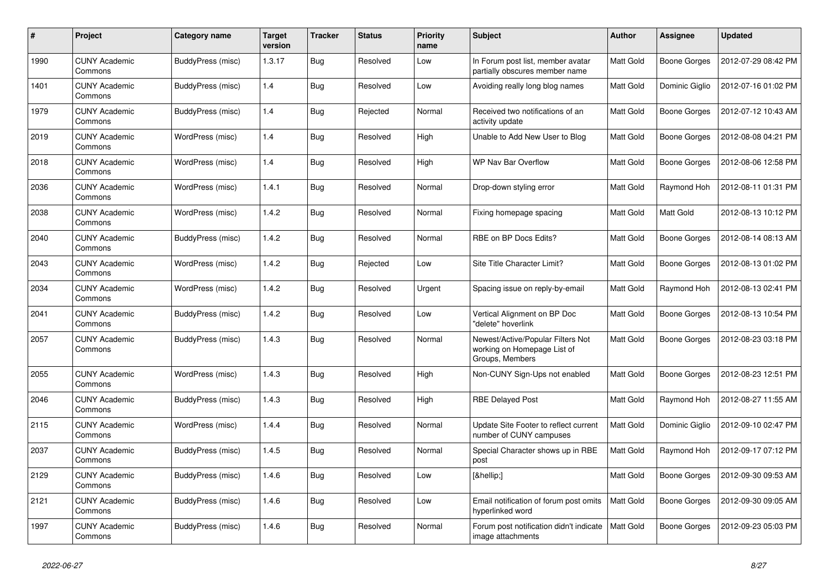| #    | Project                         | Category name     | <b>Target</b><br>version | <b>Tracker</b> | <b>Status</b> | <b>Priority</b><br>name | <b>Subject</b>                                                                      | <b>Author</b> | Assignee            | <b>Updated</b>      |
|------|---------------------------------|-------------------|--------------------------|----------------|---------------|-------------------------|-------------------------------------------------------------------------------------|---------------|---------------------|---------------------|
| 1990 | <b>CUNY Academic</b><br>Commons | BuddyPress (misc) | 1.3.17                   | Bug            | Resolved      | Low                     | In Forum post list, member avatar<br>partially obscures member name                 | Matt Gold     | <b>Boone Gorges</b> | 2012-07-29 08:42 PM |
| 1401 | <b>CUNY Academic</b><br>Commons | BuddyPress (misc) | 1.4                      | <b>Bug</b>     | Resolved      | Low                     | Avoiding really long blog names                                                     | Matt Gold     | Dominic Giglio      | 2012-07-16 01:02 PM |
| 1979 | <b>CUNY Academic</b><br>Commons | BuddyPress (misc) | 1.4                      | <b>Bug</b>     | Rejected      | Normal                  | Received two notifications of an<br>activity update                                 | Matt Gold     | <b>Boone Gorges</b> | 2012-07-12 10:43 AM |
| 2019 | <b>CUNY Academic</b><br>Commons | WordPress (misc)  | 1.4                      | Bug            | Resolved      | High                    | Unable to Add New User to Blog                                                      | Matt Gold     | <b>Boone Gorges</b> | 2012-08-08 04:21 PM |
| 2018 | <b>CUNY Academic</b><br>Commons | WordPress (misc)  | 1.4                      | Bug            | Resolved      | High                    | WP Nav Bar Overflow                                                                 | Matt Gold     | <b>Boone Gorges</b> | 2012-08-06 12:58 PM |
| 2036 | <b>CUNY Academic</b><br>Commons | WordPress (misc)  | 1.4.1                    | Bug            | Resolved      | Normal                  | Drop-down styling error                                                             | Matt Gold     | Raymond Hoh         | 2012-08-11 01:31 PM |
| 2038 | <b>CUNY Academic</b><br>Commons | WordPress (misc)  | 1.4.2                    | <b>Bug</b>     | Resolved      | Normal                  | Fixing homepage spacing                                                             | Matt Gold     | Matt Gold           | 2012-08-13 10:12 PM |
| 2040 | <b>CUNY Academic</b><br>Commons | BuddyPress (misc) | 1.4.2                    | <b>Bug</b>     | Resolved      | Normal                  | RBE on BP Docs Edits?                                                               | Matt Gold     | Boone Gorges        | 2012-08-14 08:13 AM |
| 2043 | <b>CUNY Academic</b><br>Commons | WordPress (misc)  | 1.4.2                    | <b>Bug</b>     | Rejected      | Low                     | Site Title Character Limit?                                                         | Matt Gold     | <b>Boone Gorges</b> | 2012-08-13 01:02 PM |
| 2034 | <b>CUNY Academic</b><br>Commons | WordPress (misc)  | 1.4.2                    | <b>Bug</b>     | Resolved      | Urgent                  | Spacing issue on reply-by-email                                                     | Matt Gold     | Raymond Hoh         | 2012-08-13 02:41 PM |
| 2041 | <b>CUNY Academic</b><br>Commons | BuddyPress (misc) | 1.4.2                    | <b>Bug</b>     | Resolved      | Low                     | Vertical Alignment on BP Doc<br>'delete" hoverlink                                  | Matt Gold     | Boone Gorges        | 2012-08-13 10:54 PM |
| 2057 | <b>CUNY Academic</b><br>Commons | BuddyPress (misc) | 1.4.3                    | Bug            | Resolved      | Normal                  | Newest/Active/Popular Filters Not<br>working on Homepage List of<br>Groups, Members | Matt Gold     | <b>Boone Gorges</b> | 2012-08-23 03:18 PM |
| 2055 | <b>CUNY Academic</b><br>Commons | WordPress (misc)  | 1.4.3                    | <b>Bug</b>     | Resolved      | High                    | Non-CUNY Sign-Ups not enabled                                                       | Matt Gold     | <b>Boone Gorges</b> | 2012-08-23 12:51 PM |
| 2046 | <b>CUNY Academic</b><br>Commons | BuddyPress (misc) | 1.4.3                    | Bug            | Resolved      | High                    | <b>RBE Delayed Post</b>                                                             | Matt Gold     | Raymond Hoh         | 2012-08-27 11:55 AM |
| 2115 | <b>CUNY Academic</b><br>Commons | WordPress (misc)  | 1.4.4                    | <b>Bug</b>     | Resolved      | Normal                  | Update Site Footer to reflect current<br>number of CUNY campuses                    | Matt Gold     | Dominic Giglio      | 2012-09-10 02:47 PM |
| 2037 | <b>CUNY Academic</b><br>Commons | BuddyPress (misc) | 1.4.5                    | Bug            | Resolved      | Normal                  | Special Character shows up in RBE<br>post                                           | Matt Gold     | Raymond Hoh         | 2012-09-17 07:12 PM |
| 2129 | <b>CUNY Academic</b><br>Commons | BuddyPress (misc) | 1.4.6                    | Bug            | Resolved      | Low                     | […]                                                                                 | Matt Gold     | <b>Boone Gorges</b> | 2012-09-30 09:53 AM |
| 2121 | <b>CUNY Academic</b><br>Commons | BuddyPress (misc) | 1.4.6                    | <b>Bug</b>     | Resolved      | Low                     | Email notification of forum post omits<br>hyperlinked word                          | Matt Gold     | <b>Boone Gorges</b> | 2012-09-30 09:05 AM |
| 1997 | CUNY Academic<br>Commons        | BuddyPress (misc) | 1.4.6                    | <b>Bug</b>     | Resolved      | Normal                  | Forum post notification didn't indicate<br>image attachments                        | Matt Gold     | Boone Gorges        | 2012-09-23 05:03 PM |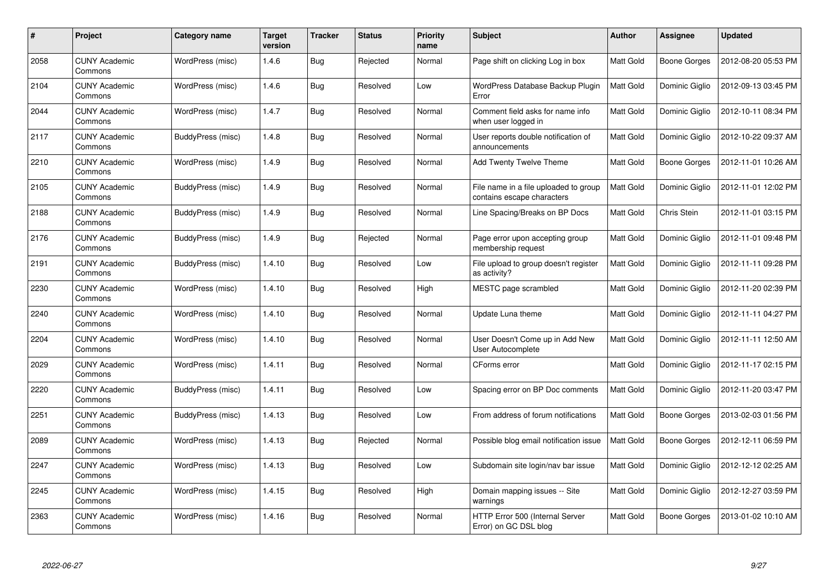| #    | Project                         | Category name     | <b>Target</b><br>version | Tracker    | <b>Status</b> | <b>Priority</b><br>name | <b>Subject</b>                                                      | <b>Author</b> | Assignee            | <b>Updated</b>      |
|------|---------------------------------|-------------------|--------------------------|------------|---------------|-------------------------|---------------------------------------------------------------------|---------------|---------------------|---------------------|
| 2058 | <b>CUNY Academic</b><br>Commons | WordPress (misc)  | 1.4.6                    | <b>Bug</b> | Rejected      | Normal                  | Page shift on clicking Log in box                                   | Matt Gold     | <b>Boone Gorges</b> | 2012-08-20 05:53 PM |
| 2104 | <b>CUNY Academic</b><br>Commons | WordPress (misc)  | 1.4.6                    | <b>Bug</b> | Resolved      | Low                     | WordPress Database Backup Plugin<br>Error                           | Matt Gold     | Dominic Giglio      | 2012-09-13 03:45 PM |
| 2044 | <b>CUNY Academic</b><br>Commons | WordPress (misc)  | 1.4.7                    | <b>Bug</b> | Resolved      | Normal                  | Comment field asks for name info<br>when user logged in             | Matt Gold     | Dominic Giglio      | 2012-10-11 08:34 PM |
| 2117 | <b>CUNY Academic</b><br>Commons | BuddyPress (misc) | 1.4.8                    | <b>Bug</b> | Resolved      | Normal                  | User reports double notification of<br>announcements                | Matt Gold     | Dominic Giglio      | 2012-10-22 09:37 AM |
| 2210 | <b>CUNY Academic</b><br>Commons | WordPress (misc)  | 1.4.9                    | Bug        | Resolved      | Normal                  | <b>Add Twenty Twelve Theme</b>                                      | Matt Gold     | <b>Boone Gorges</b> | 2012-11-01 10:26 AM |
| 2105 | <b>CUNY Academic</b><br>Commons | BuddyPress (misc) | 1.4.9                    | <b>Bug</b> | Resolved      | Normal                  | File name in a file uploaded to group<br>contains escape characters | Matt Gold     | Dominic Giglio      | 2012-11-01 12:02 PM |
| 2188 | <b>CUNY Academic</b><br>Commons | BuddyPress (misc) | 1.4.9                    | <b>Bug</b> | Resolved      | Normal                  | Line Spacing/Breaks on BP Docs                                      | Matt Gold     | Chris Stein         | 2012-11-01 03:15 PM |
| 2176 | <b>CUNY Academic</b><br>Commons | BuddyPress (misc) | 1.4.9                    | <b>Bug</b> | Rejected      | Normal                  | Page error upon accepting group<br>membership request               | Matt Gold     | Dominic Giglio      | 2012-11-01 09:48 PM |
| 2191 | <b>CUNY Academic</b><br>Commons | BuddyPress (misc) | 1.4.10                   | Bug        | Resolved      | Low                     | File upload to group doesn't register<br>as activity?               | Matt Gold     | Dominic Giglio      | 2012-11-11 09:28 PM |
| 2230 | <b>CUNY Academic</b><br>Commons | WordPress (misc)  | 1.4.10                   | Bug        | Resolved      | High                    | MESTC page scrambled                                                | Matt Gold     | Dominic Giglio      | 2012-11-20 02:39 PM |
| 2240 | <b>CUNY Academic</b><br>Commons | WordPress (misc)  | 1.4.10                   | <b>Bug</b> | Resolved      | Normal                  | Update Luna theme                                                   | Matt Gold     | Dominic Giglio      | 2012-11-11 04:27 PM |
| 2204 | <b>CUNY Academic</b><br>Commons | WordPress (misc)  | 1.4.10                   | <b>Bug</b> | Resolved      | Normal                  | User Doesn't Come up in Add New<br>User Autocomplete                | Matt Gold     | Dominic Giglio      | 2012-11-11 12:50 AM |
| 2029 | <b>CUNY Academic</b><br>Commons | WordPress (misc)  | 1.4.11                   | <b>Bug</b> | Resolved      | Normal                  | CForms error                                                        | Matt Gold     | Dominic Giglio      | 2012-11-17 02:15 PM |
| 2220 | <b>CUNY Academic</b><br>Commons | BuddyPress (misc) | 1.4.11                   | <b>Bug</b> | Resolved      | Low                     | Spacing error on BP Doc comments                                    | Matt Gold     | Dominic Giglio      | 2012-11-20 03:47 PM |
| 2251 | <b>CUNY Academic</b><br>Commons | BuddyPress (misc) | 1.4.13                   | Bug        | Resolved      | Low                     | From address of forum notifications                                 | Matt Gold     | <b>Boone Gorges</b> | 2013-02-03 01:56 PM |
| 2089 | <b>CUNY Academic</b><br>Commons | WordPress (misc)  | 1.4.13                   | <b>Bug</b> | Rejected      | Normal                  | Possible blog email notification issue                              | Matt Gold     | <b>Boone Gorges</b> | 2012-12-11 06:59 PM |
| 2247 | <b>CUNY Academic</b><br>Commons | WordPress (misc)  | 1.4.13                   | <b>Bug</b> | Resolved      | Low                     | Subdomain site login/nav bar issue                                  | Matt Gold     | Dominic Giglio      | 2012-12-12 02:25 AM |
| 2245 | <b>CUNY Academic</b><br>Commons | WordPress (misc)  | 1.4.15                   | <b>Bug</b> | Resolved      | High                    | Domain mapping issues -- Site<br>warnings                           | Matt Gold     | Dominic Giglio      | 2012-12-27 03:59 PM |
| 2363 | CUNY Academic<br>Commons        | WordPress (misc)  | 1.4.16                   | Bug        | Resolved      | Normal                  | HTTP Error 500 (Internal Server<br>Error) on GC DSL blog            | Matt Gold     | Boone Gorges        | 2013-01-02 10:10 AM |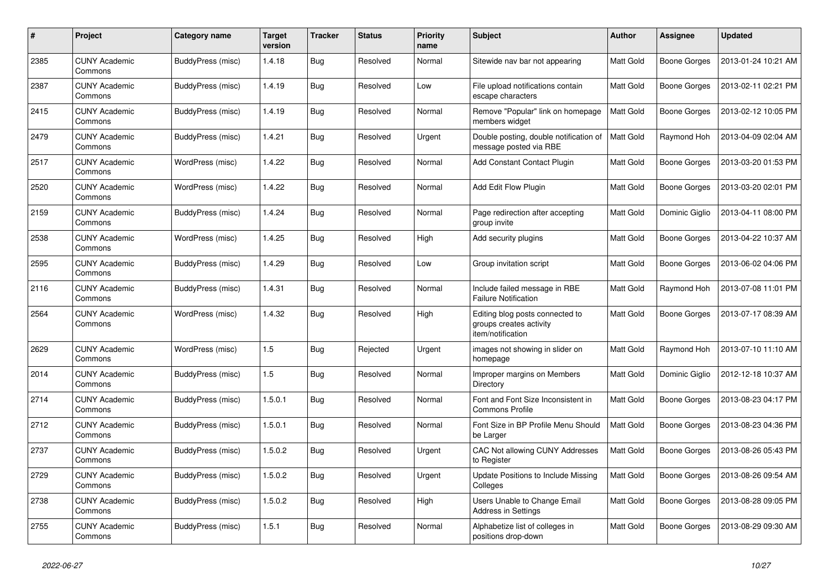| #    | Project                         | Category name     | <b>Target</b><br>version | <b>Tracker</b> | <b>Status</b> | <b>Priority</b><br>name | <b>Subject</b>                                                                  | <b>Author</b> | Assignee            | <b>Updated</b>      |
|------|---------------------------------|-------------------|--------------------------|----------------|---------------|-------------------------|---------------------------------------------------------------------------------|---------------|---------------------|---------------------|
| 2385 | <b>CUNY Academic</b><br>Commons | BuddyPress (misc) | 1.4.18                   | <b>Bug</b>     | Resolved      | Normal                  | Sitewide nav bar not appearing                                                  | Matt Gold     | <b>Boone Gorges</b> | 2013-01-24 10:21 AM |
| 2387 | <b>CUNY Academic</b><br>Commons | BuddyPress (misc) | 1.4.19                   | Bug            | Resolved      | Low                     | File upload notifications contain<br>escape characters                          | Matt Gold     | <b>Boone Gorges</b> | 2013-02-11 02:21 PM |
| 2415 | <b>CUNY Academic</b><br>Commons | BuddyPress (misc) | 1.4.19                   | <b>Bug</b>     | Resolved      | Normal                  | Remove "Popular" link on homepage<br>members widget                             | Matt Gold     | <b>Boone Gorges</b> | 2013-02-12 10:05 PM |
| 2479 | <b>CUNY Academic</b><br>Commons | BuddyPress (misc) | 1.4.21                   | <b>Bug</b>     | Resolved      | Urgent                  | Double posting, double notification of<br>message posted via RBE                | Matt Gold     | Raymond Hoh         | 2013-04-09 02:04 AM |
| 2517 | <b>CUNY Academic</b><br>Commons | WordPress (misc)  | 1.4.22                   | <b>Bug</b>     | Resolved      | Normal                  | Add Constant Contact Plugin                                                     | Matt Gold     | <b>Boone Gorges</b> | 2013-03-20 01:53 PM |
| 2520 | <b>CUNY Academic</b><br>Commons | WordPress (misc)  | 1.4.22                   | <b>Bug</b>     | Resolved      | Normal                  | Add Edit Flow Plugin                                                            | Matt Gold     | <b>Boone Gorges</b> | 2013-03-20 02:01 PM |
| 2159 | <b>CUNY Academic</b><br>Commons | BuddyPress (misc) | 1.4.24                   | Bug            | Resolved      | Normal                  | Page redirection after accepting<br>group invite                                | Matt Gold     | Dominic Giglio      | 2013-04-11 08:00 PM |
| 2538 | <b>CUNY Academic</b><br>Commons | WordPress (misc)  | 1.4.25                   | Bug            | Resolved      | High                    | Add security plugins                                                            | Matt Gold     | <b>Boone Gorges</b> | 2013-04-22 10:37 AM |
| 2595 | CUNY Academic<br>Commons        | BuddyPress (misc) | 1.4.29                   | <b>Bug</b>     | Resolved      | Low                     | Group invitation script                                                         | Matt Gold     | <b>Boone Gorges</b> | 2013-06-02 04:06 PM |
| 2116 | <b>CUNY Academic</b><br>Commons | BuddyPress (misc) | 1.4.31                   | Bug            | Resolved      | Normal                  | Include failed message in RBE<br><b>Failure Notification</b>                    | Matt Gold     | Raymond Hoh         | 2013-07-08 11:01 PM |
| 2564 | CUNY Academic<br>Commons        | WordPress (misc)  | 1.4.32                   | <b>Bug</b>     | Resolved      | High                    | Editing blog posts connected to<br>groups creates activity<br>item/notification | Matt Gold     | <b>Boone Gorges</b> | 2013-07-17 08:39 AM |
| 2629 | <b>CUNY Academic</b><br>Commons | WordPress (misc)  | 1.5                      | <b>Bug</b>     | Rejected      | Urgent                  | images not showing in slider on<br>homepage                                     | Matt Gold     | Raymond Hoh         | 2013-07-10 11:10 AM |
| 2014 | <b>CUNY Academic</b><br>Commons | BuddyPress (misc) | 1.5                      | <b>Bug</b>     | Resolved      | Normal                  | Improper margins on Members<br>Directory                                        | Matt Gold     | Dominic Giglio      | 2012-12-18 10:37 AM |
| 2714 | <b>CUNY Academic</b><br>Commons | BuddyPress (misc) | 1.5.0.1                  | Bug            | Resolved      | Normal                  | Font and Font Size Inconsistent in<br><b>Commons Profile</b>                    | Matt Gold     | <b>Boone Gorges</b> | 2013-08-23 04:17 PM |
| 2712 | <b>CUNY Academic</b><br>Commons | BuddyPress (misc) | 1.5.0.1                  | Bug            | Resolved      | Normal                  | Font Size in BP Profile Menu Should<br>be Larger                                | Matt Gold     | <b>Boone Gorges</b> | 2013-08-23 04:36 PM |
| 2737 | <b>CUNY Academic</b><br>Commons | BuddyPress (misc) | 1.5.0.2                  | <b>Bug</b>     | Resolved      | Urgent                  | CAC Not allowing CUNY Addresses<br>to Register                                  | Matt Gold     | <b>Boone Gorges</b> | 2013-08-26 05:43 PM |
| 2729 | CUNY Academic<br>Commons        | BuddyPress (misc) | 1.5.0.2                  | <b>Bug</b>     | Resolved      | Urgent                  | <b>Update Positions to Include Missing</b><br>Colleges                          | Matt Gold     | <b>Boone Gorges</b> | 2013-08-26 09:54 AM |
| 2738 | <b>CUNY Academic</b><br>Commons | BuddyPress (misc) | 1.5.0.2                  | <b>Bug</b>     | Resolved      | High                    | Users Unable to Change Email<br><b>Address in Settings</b>                      | Matt Gold     | <b>Boone Gorges</b> | 2013-08-28 09:05 PM |
| 2755 | <b>CUNY Academic</b><br>Commons | BuddyPress (misc) | 1.5.1                    | <b>Bug</b>     | Resolved      | Normal                  | Alphabetize list of colleges in<br>positions drop-down                          | Matt Gold     | <b>Boone Gorges</b> | 2013-08-29 09:30 AM |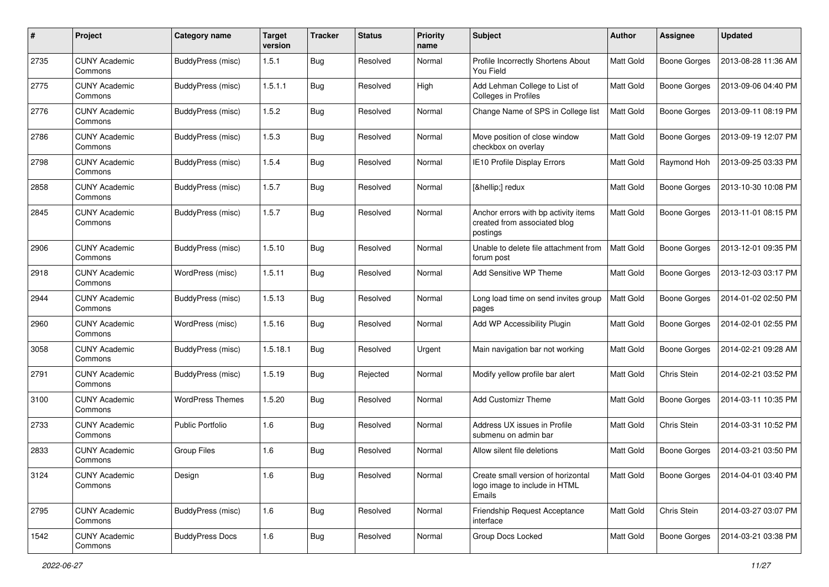| #    | Project                         | <b>Category name</b>     | <b>Target</b><br>version | <b>Tracker</b> | <b>Status</b> | <b>Priority</b><br>name | Subject                                                                          | Author    | Assignee            | <b>Updated</b>      |
|------|---------------------------------|--------------------------|--------------------------|----------------|---------------|-------------------------|----------------------------------------------------------------------------------|-----------|---------------------|---------------------|
| 2735 | <b>CUNY Academic</b><br>Commons | BuddyPress (misc)        | 1.5.1                    | <b>Bug</b>     | Resolved      | Normal                  | Profile Incorrectly Shortens About<br>You Field                                  | Matt Gold | <b>Boone Gorges</b> | 2013-08-28 11:36 AM |
| 2775 | <b>CUNY Academic</b><br>Commons | BuddyPress (misc)        | 1.5.1.1                  | <b>Bug</b>     | Resolved      | High                    | Add Lehman College to List of<br>Colleges in Profiles                            | Matt Gold | Boone Gorges        | 2013-09-06 04:40 PM |
| 2776 | <b>CUNY Academic</b><br>Commons | BuddyPress (misc)        | 1.5.2                    | Bug            | Resolved      | Normal                  | Change Name of SPS in College list                                               | Matt Gold | Boone Gorges        | 2013-09-11 08:19 PM |
| 2786 | <b>CUNY Academic</b><br>Commons | <b>BuddyPress (misc)</b> | 1.5.3                    | <b>Bug</b>     | Resolved      | Normal                  | Move position of close window<br>checkbox on overlay                             | Matt Gold | <b>Boone Gorges</b> | 2013-09-19 12:07 PM |
| 2798 | <b>CUNY Academic</b><br>Commons | BuddyPress (misc)        | 1.5.4                    | <b>Bug</b>     | Resolved      | Normal                  | IE10 Profile Display Errors                                                      | Matt Gold | Raymond Hoh         | 2013-09-25 03:33 PM |
| 2858 | <b>CUNY Academic</b><br>Commons | <b>BuddyPress</b> (misc) | 1.5.7                    | Bug            | Resolved      | Normal                  | […] redux                                                                        | Matt Gold | Boone Gorges        | 2013-10-30 10:08 PM |
| 2845 | <b>CUNY Academic</b><br>Commons | <b>BuddyPress (misc)</b> | 1.5.7                    | Bug            | Resolved      | Normal                  | Anchor errors with bp activity items<br>created from associated blog<br>postings | Matt Gold | Boone Gorges        | 2013-11-01 08:15 PM |
| 2906 | <b>CUNY Academic</b><br>Commons | BuddyPress (misc)        | 1.5.10                   | Bug            | Resolved      | Normal                  | Unable to delete file attachment from<br>forum post                              | Matt Gold | Boone Gorges        | 2013-12-01 09:35 PM |
| 2918 | <b>CUNY Academic</b><br>Commons | WordPress (misc)         | 1.5.11                   | Bug            | Resolved      | Normal                  | Add Sensitive WP Theme                                                           | Matt Gold | Boone Gorges        | 2013-12-03 03:17 PM |
| 2944 | <b>CUNY Academic</b><br>Commons | BuddyPress (misc)        | 1.5.13                   | Bug            | Resolved      | Normal                  | Long load time on send invites group<br>pages                                    | Matt Gold | Boone Gorges        | 2014-01-02 02:50 PM |
| 2960 | <b>CUNY Academic</b><br>Commons | WordPress (misc)         | 1.5.16                   | <b>Bug</b>     | Resolved      | Normal                  | Add WP Accessibility Plugin                                                      | Matt Gold | Boone Gorges        | 2014-02-01 02:55 PM |
| 3058 | <b>CUNY Academic</b><br>Commons | BuddyPress (misc)        | 1.5.18.1                 | Bug            | Resolved      | Urgent                  | Main navigation bar not working                                                  | Matt Gold | Boone Gorges        | 2014-02-21 09:28 AM |
| 2791 | <b>CUNY Academic</b><br>Commons | BuddyPress (misc)        | 1.5.19                   | Bug            | Rejected      | Normal                  | Modify yellow profile bar alert                                                  | Matt Gold | Chris Stein         | 2014-02-21 03:52 PM |
| 3100 | <b>CUNY Academic</b><br>Commons | <b>WordPress Themes</b>  | 1.5.20                   | <b>Bug</b>     | Resolved      | Normal                  | Add Customizr Theme                                                              | Matt Gold | Boone Gorges        | 2014-03-11 10:35 PM |
| 2733 | <b>CUNY Academic</b><br>Commons | <b>Public Portfolio</b>  | 1.6                      | <b>Bug</b>     | Resolved      | Normal                  | Address UX issues in Profile<br>submenu on admin bar                             | Matt Gold | Chris Stein         | 2014-03-31 10:52 PM |
| 2833 | <b>CUNY Academic</b><br>Commons | <b>Group Files</b>       | 1.6                      | Bug            | Resolved      | Normal                  | Allow silent file deletions                                                      | Matt Gold | Boone Gorges        | 2014-03-21 03:50 PM |
| 3124 | <b>CUNY Academic</b><br>Commons | Design                   | 1.6                      | <b>Bug</b>     | Resolved      | Normal                  | Create small version of horizontal<br>logo image to include in HTML<br>Emails    | Matt Gold | Boone Gorges        | 2014-04-01 03:40 PM |
| 2795 | <b>CUNY Academic</b><br>Commons | BuddyPress (misc)        | 1.6                      | <b>Bug</b>     | Resolved      | Normal                  | Friendship Request Acceptance<br>interface                                       | Matt Gold | Chris Stein         | 2014-03-27 03:07 PM |
| 1542 | <b>CUNY Academic</b><br>Commons | <b>BuddyPress Docs</b>   | 1.6                      | <b>Bug</b>     | Resolved      | Normal                  | Group Docs Locked                                                                | Matt Gold | Boone Gorges        | 2014-03-21 03:38 PM |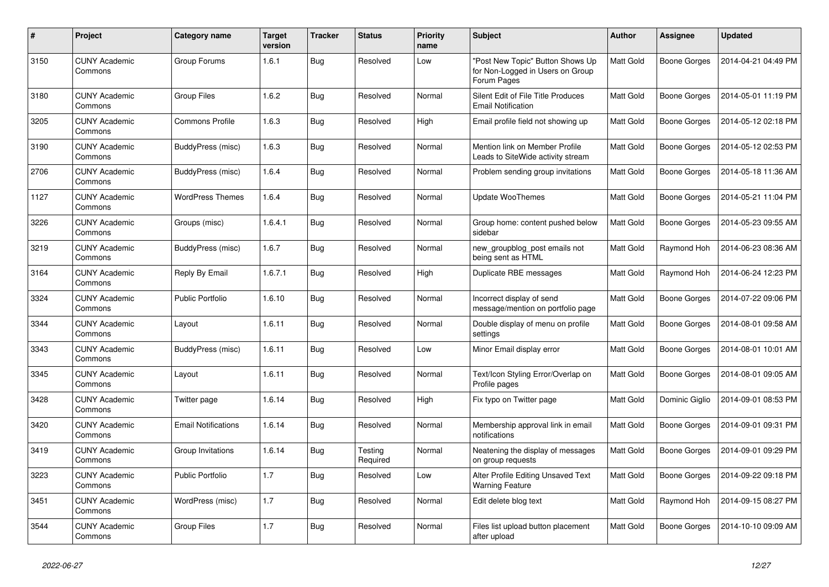| #    | Project                         | <b>Category name</b>       | <b>Target</b><br>version | <b>Tracker</b> | <b>Status</b>       | <b>Priority</b><br>name | <b>Subject</b>                                                                      | <b>Author</b> | <b>Assignee</b>     | <b>Updated</b>      |
|------|---------------------------------|----------------------------|--------------------------|----------------|---------------------|-------------------------|-------------------------------------------------------------------------------------|---------------|---------------------|---------------------|
| 3150 | <b>CUNY Academic</b><br>Commons | Group Forums               | 1.6.1                    | <b>Bug</b>     | Resolved            | Low                     | "Post New Topic" Button Shows Up<br>for Non-Logged in Users on Group<br>Forum Pages | Matt Gold     | Boone Gorges        | 2014-04-21 04:49 PM |
| 3180 | <b>CUNY Academic</b><br>Commons | <b>Group Files</b>         | 1.6.2                    | <b>Bug</b>     | Resolved            | Normal                  | Silent Edit of File Title Produces<br><b>Email Notification</b>                     | Matt Gold     | Boone Gorges        | 2014-05-01 11:19 PM |
| 3205 | <b>CUNY Academic</b><br>Commons | <b>Commons Profile</b>     | 1.6.3                    | <b>Bug</b>     | Resolved            | High                    | Email profile field not showing up                                                  | Matt Gold     | Boone Gorges        | 2014-05-12 02:18 PM |
| 3190 | <b>CUNY Academic</b><br>Commons | BuddyPress (misc)          | 1.6.3                    | Bug            | Resolved            | Normal                  | Mention link on Member Profile<br>Leads to SiteWide activity stream                 | Matt Gold     | Boone Gorges        | 2014-05-12 02:53 PM |
| 2706 | <b>CUNY Academic</b><br>Commons | BuddyPress (misc)          | 1.6.4                    | <b>Bug</b>     | Resolved            | Normal                  | Problem sending group invitations                                                   | Matt Gold     | <b>Boone Gorges</b> | 2014-05-18 11:36 AM |
| 1127 | <b>CUNY Academic</b><br>Commons | <b>WordPress Themes</b>    | 1.6.4                    | Bug            | Resolved            | Normal                  | <b>Update WooThemes</b>                                                             | Matt Gold     | Boone Gorges        | 2014-05-21 11:04 PM |
| 3226 | <b>CUNY Academic</b><br>Commons | Groups (misc)              | 1.6.4.1                  | Bug            | Resolved            | Normal                  | Group home: content pushed below<br>sidebar                                         | Matt Gold     | Boone Gorges        | 2014-05-23 09:55 AM |
| 3219 | <b>CUNY Academic</b><br>Commons | BuddyPress (misc)          | 1.6.7                    | <b>Bug</b>     | Resolved            | Normal                  | new_groupblog_post emails not<br>being sent as HTML                                 | Matt Gold     | Raymond Hoh         | 2014-06-23 08:36 AM |
| 3164 | <b>CUNY Academic</b><br>Commons | Reply By Email             | 1.6.7.1                  | <b>Bug</b>     | Resolved            | High                    | Duplicate RBE messages                                                              | Matt Gold     | Raymond Hoh         | 2014-06-24 12:23 PM |
| 3324 | <b>CUNY Academic</b><br>Commons | <b>Public Portfolio</b>    | 1.6.10                   | Bug            | Resolved            | Normal                  | Incorrect display of send<br>message/mention on portfolio page                      | Matt Gold     | Boone Gorges        | 2014-07-22 09:06 PM |
| 3344 | <b>CUNY Academic</b><br>Commons | Layout                     | 1.6.11                   | <b>Bug</b>     | Resolved            | Normal                  | Double display of menu on profile<br>settings                                       | Matt Gold     | <b>Boone Gorges</b> | 2014-08-01 09:58 AM |
| 3343 | <b>CUNY Academic</b><br>Commons | BuddyPress (misc)          | 1.6.11                   | <b>Bug</b>     | Resolved            | Low                     | Minor Email display error                                                           | Matt Gold     | Boone Gorges        | 2014-08-01 10:01 AM |
| 3345 | <b>CUNY Academic</b><br>Commons | Layout                     | 1.6.11                   | Bug            | Resolved            | Normal                  | Text/Icon Styling Error/Overlap on<br>Profile pages                                 | Matt Gold     | Boone Gorges        | 2014-08-01 09:05 AM |
| 3428 | <b>CUNY Academic</b><br>Commons | Twitter page               | 1.6.14                   | <b>Bug</b>     | Resolved            | High                    | Fix typo on Twitter page                                                            | Matt Gold     | Dominic Giglio      | 2014-09-01 08:53 PM |
| 3420 | <b>CUNY Academic</b><br>Commons | <b>Email Notifications</b> | 1.6.14                   | <b>Bug</b>     | Resolved            | Normal                  | Membership approval link in email<br>notifications                                  | Matt Gold     | Boone Gorges        | 2014-09-01 09:31 PM |
| 3419 | <b>CUNY Academic</b><br>Commons | Group Invitations          | 1.6.14                   | Bug            | Testing<br>Required | Normal                  | Neatening the display of messages<br>on group requests                              | Matt Gold     | Boone Gorges        | 2014-09-01 09:29 PM |
| 3223 | <b>CUNY Academic</b><br>Commons | <b>Public Portfolio</b>    | 1.7                      | Bug            | Resolved            | Low                     | Alter Profile Editing Unsaved Text<br><b>Warning Feature</b>                        | Matt Gold     | Boone Gorges        | 2014-09-22 09:18 PM |
| 3451 | <b>CUNY Academic</b><br>Commons | WordPress (misc)           | 1.7                      | <b>Bug</b>     | Resolved            | Normal                  | Edit delete blog text                                                               | Matt Gold     | Raymond Hoh         | 2014-09-15 08:27 PM |
| 3544 | <b>CUNY Academic</b><br>Commons | <b>Group Files</b>         | 1.7                      | Bug            | Resolved            | Normal                  | Files list upload button placement<br>after upload                                  | Matt Gold     | Boone Gorges        | 2014-10-10 09:09 AM |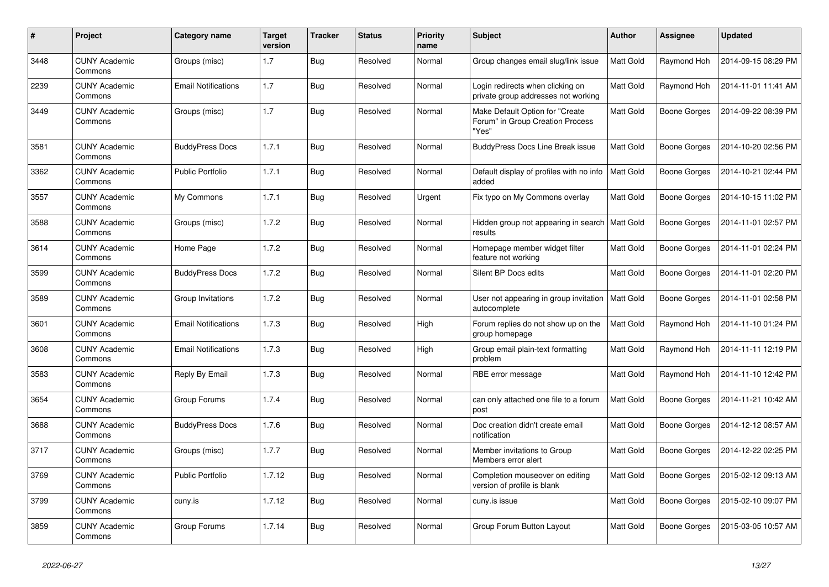| #    | Project                         | Category name              | <b>Target</b><br>version | <b>Tracker</b> | <b>Status</b> | <b>Priority</b><br>name | <b>Subject</b>                                                               | <b>Author</b> | Assignee            | <b>Updated</b>      |
|------|---------------------------------|----------------------------|--------------------------|----------------|---------------|-------------------------|------------------------------------------------------------------------------|---------------|---------------------|---------------------|
| 3448 | <b>CUNY Academic</b><br>Commons | Groups (misc)              | 1.7                      | <b>Bug</b>     | Resolved      | Normal                  | Group changes email slug/link issue                                          | Matt Gold     | Raymond Hoh         | 2014-09-15 08:29 PM |
| 2239 | <b>CUNY Academic</b><br>Commons | <b>Email Notifications</b> | 1.7                      | <b>Bug</b>     | Resolved      | Normal                  | Login redirects when clicking on<br>private group addresses not working      | Matt Gold     | Raymond Hoh         | 2014-11-01 11:41 AM |
| 3449 | <b>CUNY Academic</b><br>Commons | Groups (misc)              | 1.7                      | Bug            | Resolved      | Normal                  | Make Default Option for "Create<br>Forum" in Group Creation Process<br>"Yes" | Matt Gold     | <b>Boone Gorges</b> | 2014-09-22 08:39 PM |
| 3581 | <b>CUNY Academic</b><br>Commons | <b>BuddyPress Docs</b>     | 1.7.1                    | <b>Bug</b>     | Resolved      | Normal                  | <b>BuddyPress Docs Line Break issue</b>                                      | Matt Gold     | <b>Boone Gorges</b> | 2014-10-20 02:56 PM |
| 3362 | <b>CUNY Academic</b><br>Commons | <b>Public Portfolio</b>    | 1.7.1                    | Bug            | Resolved      | Normal                  | Default display of profiles with no info<br>added                            | Matt Gold     | <b>Boone Gorges</b> | 2014-10-21 02:44 PM |
| 3557 | <b>CUNY Academic</b><br>Commons | My Commons                 | 1.7.1                    | <b>Bug</b>     | Resolved      | Urgent                  | Fix typo on My Commons overlay                                               | Matt Gold     | Boone Gorges        | 2014-10-15 11:02 PM |
| 3588 | <b>CUNY Academic</b><br>Commons | Groups (misc)              | 1.7.2                    | <b>Bug</b>     | Resolved      | Normal                  | Hidden group not appearing in search<br>results                              | Matt Gold     | <b>Boone Gorges</b> | 2014-11-01 02:57 PM |
| 3614 | <b>CUNY Academic</b><br>Commons | Home Page                  | 1.7.2                    | <b>Bug</b>     | Resolved      | Normal                  | Homepage member widget filter<br>feature not working                         | Matt Gold     | Boone Gorges        | 2014-11-01 02:24 PM |
| 3599 | <b>CUNY Academic</b><br>Commons | <b>BuddyPress Docs</b>     | 1.7.2                    | Bug            | Resolved      | Normal                  | Silent BP Docs edits                                                         | Matt Gold     | Boone Gorges        | 2014-11-01 02:20 PM |
| 3589 | <b>CUNY Academic</b><br>Commons | Group Invitations          | 1.7.2                    | <b>Bug</b>     | Resolved      | Normal                  | User not appearing in group invitation<br>autocomplete                       | Matt Gold     | <b>Boone Gorges</b> | 2014-11-01 02:58 PM |
| 3601 | <b>CUNY Academic</b><br>Commons | <b>Email Notifications</b> | 1.7.3                    | Bug            | Resolved      | High                    | Forum replies do not show up on the<br>group homepage                        | Matt Gold     | Raymond Hoh         | 2014-11-10 01:24 PM |
| 3608 | <b>CUNY Academic</b><br>Commons | <b>Email Notifications</b> | 1.7.3                    | Bug            | Resolved      | High                    | Group email plain-text formatting<br>problem                                 | Matt Gold     | Raymond Hoh         | 2014-11-11 12:19 PM |
| 3583 | <b>CUNY Academic</b><br>Commons | Reply By Email             | 1.7.3                    | <b>Bug</b>     | Resolved      | Normal                  | RBE error message                                                            | Matt Gold     | Raymond Hoh         | 2014-11-10 12:42 PM |
| 3654 | <b>CUNY Academic</b><br>Commons | Group Forums               | 1.7.4                    | Bug            | Resolved      | Normal                  | can only attached one file to a forum<br>post                                | Matt Gold     | <b>Boone Gorges</b> | 2014-11-21 10:42 AM |
| 3688 | <b>CUNY Academic</b><br>Commons | <b>BuddyPress Docs</b>     | 1.7.6                    | <b>Bug</b>     | Resolved      | Normal                  | Doc creation didn't create email<br>notification                             | Matt Gold     | Boone Gorges        | 2014-12-12 08:57 AM |
| 3717 | <b>CUNY Academic</b><br>Commons | Groups (misc)              | 1.7.7                    | <b>Bug</b>     | Resolved      | Normal                  | Member invitations to Group<br>Members error alert                           | Matt Gold     | <b>Boone Gorges</b> | 2014-12-22 02:25 PM |
| 3769 | CUNY Academic<br>Commons        | <b>Public Portfolio</b>    | 1.7.12                   | <b>Bug</b>     | Resolved      | Normal                  | Completion mouseover on editing<br>version of profile is blank               | Matt Gold     | <b>Boone Gorges</b> | 2015-02-12 09:13 AM |
| 3799 | <b>CUNY Academic</b><br>Commons | cuny.is                    | 1.7.12                   | <b>Bug</b>     | Resolved      | Normal                  | cuny.is issue                                                                | Matt Gold     | Boone Gorges        | 2015-02-10 09:07 PM |
| 3859 | <b>CUNY Academic</b><br>Commons | Group Forums               | 1.7.14                   | Bug            | Resolved      | Normal                  | Group Forum Button Layout                                                    | Matt Gold     | <b>Boone Gorges</b> | 2015-03-05 10:57 AM |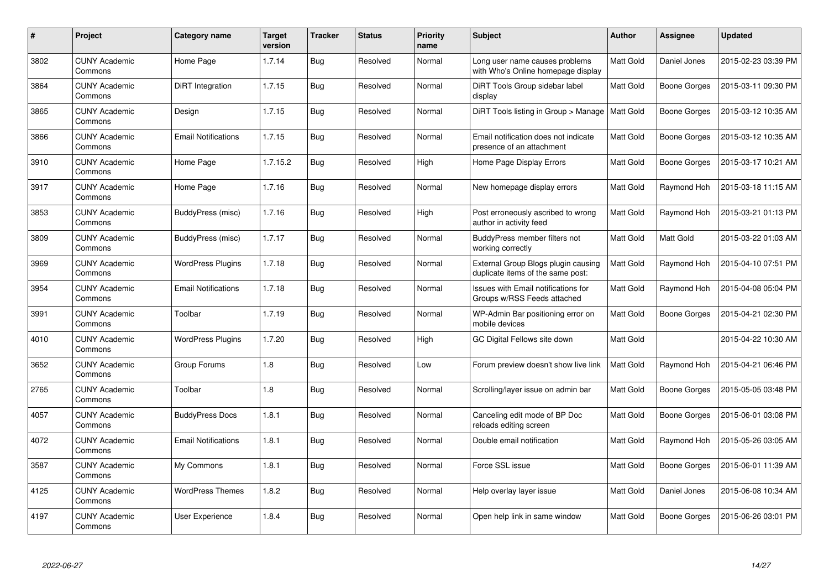| #    | Project                         | Category name              | <b>Target</b><br>version | <b>Tracker</b> | <b>Status</b> | <b>Priority</b><br>name | <b>Subject</b>                                                           | <b>Author</b> | <b>Assignee</b>     | <b>Updated</b>      |
|------|---------------------------------|----------------------------|--------------------------|----------------|---------------|-------------------------|--------------------------------------------------------------------------|---------------|---------------------|---------------------|
| 3802 | <b>CUNY Academic</b><br>Commons | Home Page                  | 1.7.14                   | <b>Bug</b>     | Resolved      | Normal                  | Long user name causes problems<br>with Who's Online homepage display     | Matt Gold     | Daniel Jones        | 2015-02-23 03:39 PM |
| 3864 | <b>CUNY Academic</b><br>Commons | DiRT Integration           | 1.7.15                   | <b>Bug</b>     | Resolved      | Normal                  | DiRT Tools Group sidebar label<br>display                                | Matt Gold     | Boone Gorges        | 2015-03-11 09:30 PM |
| 3865 | <b>CUNY Academic</b><br>Commons | Design                     | 1.7.15                   | <b>Bug</b>     | Resolved      | Normal                  | DIRT Tools listing in Group > Manage   Matt Gold                         |               | <b>Boone Gorges</b> | 2015-03-12 10:35 AM |
| 3866 | <b>CUNY Academic</b><br>Commons | <b>Email Notifications</b> | 1.7.15                   | <b>Bug</b>     | Resolved      | Normal                  | Email notification does not indicate<br>presence of an attachment        | Matt Gold     | <b>Boone Gorges</b> | 2015-03-12 10:35 AM |
| 3910 | <b>CUNY Academic</b><br>Commons | Home Page                  | 1.7.15.2                 | <b>Bug</b>     | Resolved      | High                    | Home Page Display Errors                                                 | Matt Gold     | <b>Boone Gorges</b> | 2015-03-17 10:21 AM |
| 3917 | <b>CUNY Academic</b><br>Commons | Home Page                  | 1.7.16                   | Bug            | Resolved      | Normal                  | New homepage display errors                                              | Matt Gold     | Raymond Hoh         | 2015-03-18 11:15 AM |
| 3853 | <b>CUNY Academic</b><br>Commons | <b>BuddyPress (misc)</b>   | 1.7.16                   | <b>Bug</b>     | Resolved      | High                    | Post erroneously ascribed to wrong<br>author in activity feed            | Matt Gold     | Raymond Hoh         | 2015-03-21 01:13 PM |
| 3809 | <b>CUNY Academic</b><br>Commons | BuddyPress (misc)          | 1.7.17                   | <b>Bug</b>     | Resolved      | Normal                  | BuddyPress member filters not<br>working correctly                       | Matt Gold     | Matt Gold           | 2015-03-22 01:03 AM |
| 3969 | <b>CUNY Academic</b><br>Commons | <b>WordPress Plugins</b>   | 1.7.18                   | <b>Bug</b>     | Resolved      | Normal                  | External Group Blogs plugin causing<br>duplicate items of the same post: | Matt Gold     | Raymond Hoh         | 2015-04-10 07:51 PM |
| 3954 | <b>CUNY Academic</b><br>Commons | <b>Email Notifications</b> | 1.7.18                   | <b>Bug</b>     | Resolved      | Normal                  | Issues with Email notifications for<br>Groups w/RSS Feeds attached       | Matt Gold     | Raymond Hoh         | 2015-04-08 05:04 PM |
| 3991 | <b>CUNY Academic</b><br>Commons | Toolbar                    | 1.7.19                   | Bug            | Resolved      | Normal                  | WP-Admin Bar positioning error on<br>mobile devices                      | Matt Gold     | <b>Boone Gorges</b> | 2015-04-21 02:30 PM |
| 4010 | <b>CUNY Academic</b><br>Commons | <b>WordPress Plugins</b>   | 1.7.20                   | <b>Bug</b>     | Resolved      | High                    | GC Digital Fellows site down                                             | Matt Gold     |                     | 2015-04-22 10:30 AM |
| 3652 | <b>CUNY Academic</b><br>Commons | Group Forums               | 1.8                      | <b>Bug</b>     | Resolved      | Low                     | Forum preview doesn't show live link                                     | Matt Gold     | Raymond Hoh         | 2015-04-21 06:46 PM |
| 2765 | <b>CUNY Academic</b><br>Commons | Toolbar                    | 1.8                      | <b>Bug</b>     | Resolved      | Normal                  | Scrolling/layer issue on admin bar                                       | Matt Gold     | Boone Gorges        | 2015-05-05 03:48 PM |
| 4057 | <b>CUNY Academic</b><br>Commons | <b>BuddyPress Docs</b>     | 1.8.1                    | <b>Bug</b>     | Resolved      | Normal                  | Canceling edit mode of BP Doc<br>reloads editing screen                  | Matt Gold     | <b>Boone Gorges</b> | 2015-06-01 03:08 PM |
| 4072 | <b>CUNY Academic</b><br>Commons | <b>Email Notifications</b> | 1.8.1                    | <b>Bug</b>     | Resolved      | Normal                  | Double email notification                                                | Matt Gold     | Raymond Hoh         | 2015-05-26 03:05 AM |
| 3587 | <b>CUNY Academic</b><br>Commons | My Commons                 | 1.8.1                    | Bug            | Resolved      | Normal                  | Force SSL issue                                                          | Matt Gold     | Boone Gorges        | 2015-06-01 11:39 AM |
| 4125 | <b>CUNY Academic</b><br>Commons | <b>WordPress Themes</b>    | 1.8.2                    | <b>Bug</b>     | Resolved      | Normal                  | Help overlay layer issue                                                 | Matt Gold     | Daniel Jones        | 2015-06-08 10:34 AM |
| 4197 | <b>CUNY Academic</b><br>Commons | User Experience            | 1.8.4                    | <b>Bug</b>     | Resolved      | Normal                  | Open help link in same window                                            | Matt Gold     | Boone Gorges        | 2015-06-26 03:01 PM |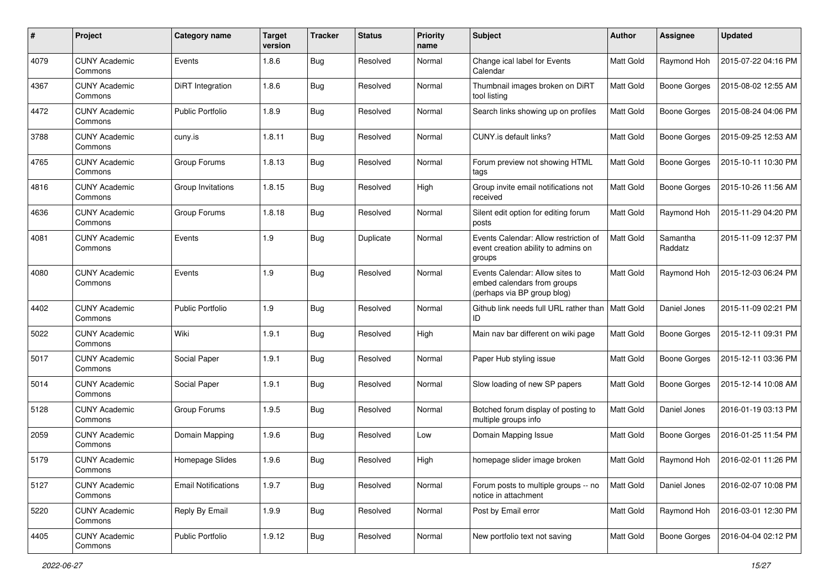| #    | Project                         | <b>Category name</b>       | <b>Target</b><br>version | <b>Tracker</b> | <b>Status</b> | <b>Priority</b><br>name | Subject                                                                                       | Author           | Assignee            | <b>Updated</b>      |
|------|---------------------------------|----------------------------|--------------------------|----------------|---------------|-------------------------|-----------------------------------------------------------------------------------------------|------------------|---------------------|---------------------|
| 4079 | <b>CUNY Academic</b><br>Commons | Events                     | 1.8.6                    | <b>Bug</b>     | Resolved      | Normal                  | Change ical label for Events<br>Calendar                                                      | Matt Gold        | Raymond Hoh         | 2015-07-22 04:16 PM |
| 4367 | <b>CUNY Academic</b><br>Commons | DiRT Integration           | 1.8.6                    | <b>Bug</b>     | Resolved      | Normal                  | Thumbnail images broken on DiRT<br>tool listing                                               | Matt Gold        | <b>Boone Gorges</b> | 2015-08-02 12:55 AM |
| 4472 | <b>CUNY Academic</b><br>Commons | <b>Public Portfolio</b>    | 1.8.9                    | <b>Bug</b>     | Resolved      | Normal                  | Search links showing up on profiles                                                           | Matt Gold        | <b>Boone Gorges</b> | 2015-08-24 04:06 PM |
| 3788 | <b>CUNY Academic</b><br>Commons | cuny.is                    | 1.8.11                   | <b>Bug</b>     | Resolved      | Normal                  | CUNY.is default links?                                                                        | <b>Matt Gold</b> | <b>Boone Gorges</b> | 2015-09-25 12:53 AM |
| 4765 | <b>CUNY Academic</b><br>Commons | Group Forums               | 1.8.13                   | Bug            | Resolved      | Normal                  | Forum preview not showing HTML<br>tags                                                        | <b>Matt Gold</b> | <b>Boone Gorges</b> | 2015-10-11 10:30 PM |
| 4816 | <b>CUNY Academic</b><br>Commons | Group Invitations          | 1.8.15                   | <b>Bug</b>     | Resolved      | High                    | Group invite email notifications not<br>received                                              | Matt Gold        | <b>Boone Gorges</b> | 2015-10-26 11:56 AM |
| 4636 | <b>CUNY Academic</b><br>Commons | Group Forums               | 1.8.18                   | <b>Bug</b>     | Resolved      | Normal                  | Silent edit option for editing forum<br>posts                                                 | Matt Gold        | Raymond Hoh         | 2015-11-29 04:20 PM |
| 4081 | <b>CUNY Academic</b><br>Commons | Events                     | 1.9                      | <b>Bug</b>     | Duplicate     | Normal                  | Events Calendar: Allow restriction of<br>event creation ability to admins on<br>groups        | Matt Gold        | Samantha<br>Raddatz | 2015-11-09 12:37 PM |
| 4080 | <b>CUNY Academic</b><br>Commons | Events                     | 1.9                      | <b>Bug</b>     | Resolved      | Normal                  | Events Calendar: Allow sites to<br>embed calendars from groups<br>(perhaps via BP group blog) | Matt Gold        | Raymond Hoh         | 2015-12-03 06:24 PM |
| 4402 | <b>CUNY Academic</b><br>Commons | <b>Public Portfolio</b>    | 1.9                      | <b>Bug</b>     | Resolved      | Normal                  | Github link needs full URL rather than<br>ID                                                  | <b>Matt Gold</b> | Daniel Jones        | 2015-11-09 02:21 PM |
| 5022 | <b>CUNY Academic</b><br>Commons | Wiki                       | 1.9.1                    | Bug            | Resolved      | High                    | Main nav bar different on wiki page                                                           | Matt Gold        | <b>Boone Gorges</b> | 2015-12-11 09:31 PM |
| 5017 | <b>CUNY Academic</b><br>Commons | Social Paper               | 1.9.1                    | <b>Bug</b>     | Resolved      | Normal                  | Paper Hub styling issue                                                                       | Matt Gold        | <b>Boone Gorges</b> | 2015-12-11 03:36 PM |
| 5014 | <b>CUNY Academic</b><br>Commons | Social Paper               | 1.9.1                    | <b>Bug</b>     | Resolved      | Normal                  | Slow loading of new SP papers                                                                 | <b>Matt Gold</b> | <b>Boone Gorges</b> | 2015-12-14 10:08 AM |
| 5128 | <b>CUNY Academic</b><br>Commons | Group Forums               | 1.9.5                    | <b>Bug</b>     | Resolved      | Normal                  | Botched forum display of posting to<br>multiple groups info                                   | Matt Gold        | Daniel Jones        | 2016-01-19 03:13 PM |
| 2059 | <b>CUNY Academic</b><br>Commons | Domain Mapping             | 1.9.6                    | <b>Bug</b>     | Resolved      | Low                     | Domain Mapping Issue                                                                          | Matt Gold        | <b>Boone Gorges</b> | 2016-01-25 11:54 PM |
| 5179 | <b>CUNY Academic</b><br>Commons | Homepage Slides            | 1.9.6                    | <b>Bug</b>     | Resolved      | High                    | homepage slider image broken                                                                  | Matt Gold        | Raymond Hoh         | 2016-02-01 11:26 PM |
| 5127 | <b>CUNY Academic</b><br>Commons | <b>Email Notifications</b> | 1.9.7                    | <b>Bug</b>     | Resolved      | Normal                  | Forum posts to multiple groups -- no<br>notice in attachment                                  | Matt Gold        | Daniel Jones        | 2016-02-07 10:08 PM |
| 5220 | <b>CUNY Academic</b><br>Commons | Reply By Email             | 1.9.9                    | <b>Bug</b>     | Resolved      | Normal                  | Post by Email error                                                                           | Matt Gold        | Raymond Hoh         | 2016-03-01 12:30 PM |
| 4405 | <b>CUNY Academic</b><br>Commons | Public Portfolio           | 1.9.12                   | <b>Bug</b>     | Resolved      | Normal                  | New portfolio text not saving                                                                 | Matt Gold        | <b>Boone Gorges</b> | 2016-04-04 02:12 PM |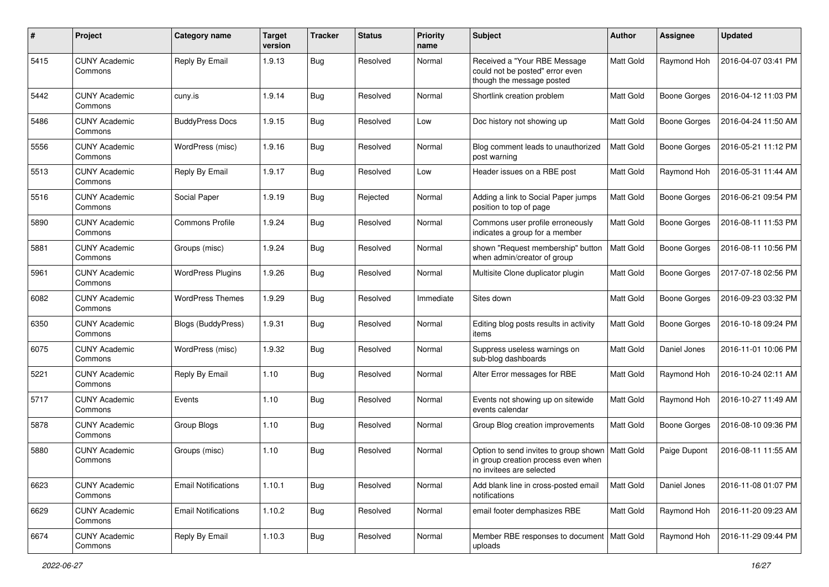| $\#$ | Project                         | Category name              | <b>Target</b><br>version | <b>Tracker</b> | <b>Status</b> | <b>Priority</b><br>name | <b>Subject</b>                                                                                                       | Author    | Assignee            | <b>Updated</b>      |
|------|---------------------------------|----------------------------|--------------------------|----------------|---------------|-------------------------|----------------------------------------------------------------------------------------------------------------------|-----------|---------------------|---------------------|
| 5415 | <b>CUNY Academic</b><br>Commons | Reply By Email             | 1.9.13                   | Bug            | Resolved      | Normal                  | Received a "Your RBE Message<br>could not be posted" error even<br>though the message posted                         | Matt Gold | Raymond Hoh         | 2016-04-07 03:41 PM |
| 5442 | <b>CUNY Academic</b><br>Commons | cuny.is                    | 1.9.14                   | Bug            | Resolved      | Normal                  | Shortlink creation problem                                                                                           | Matt Gold | <b>Boone Gorges</b> | 2016-04-12 11:03 PM |
| 5486 | <b>CUNY Academic</b><br>Commons | <b>BuddyPress Docs</b>     | 1.9.15                   | <b>Bug</b>     | Resolved      | Low                     | Doc history not showing up                                                                                           | Matt Gold | Boone Gorges        | 2016-04-24 11:50 AM |
| 5556 | <b>CUNY Academic</b><br>Commons | WordPress (misc)           | 1.9.16                   | <b>Bug</b>     | Resolved      | Normal                  | Blog comment leads to unauthorized<br>post warning                                                                   | Matt Gold | <b>Boone Gorges</b> | 2016-05-21 11:12 PM |
| 5513 | <b>CUNY Academic</b><br>Commons | Reply By Email             | 1.9.17                   | <b>Bug</b>     | Resolved      | Low                     | Header issues on a RBE post                                                                                          | Matt Gold | Raymond Hoh         | 2016-05-31 11:44 AM |
| 5516 | <b>CUNY Academic</b><br>Commons | Social Paper               | 1.9.19                   | <b>Bug</b>     | Rejected      | Normal                  | Adding a link to Social Paper jumps<br>position to top of page                                                       | Matt Gold | Boone Gorges        | 2016-06-21 09:54 PM |
| 5890 | <b>CUNY Academic</b><br>Commons | <b>Commons Profile</b>     | 1.9.24                   | <b>Bug</b>     | Resolved      | Normal                  | Commons user profile erroneously<br>indicates a group for a member                                                   | Matt Gold | Boone Gorges        | 2016-08-11 11:53 PM |
| 5881 | <b>CUNY Academic</b><br>Commons | Groups (misc)              | 1.9.24                   | Bug            | Resolved      | Normal                  | shown "Request membership" button<br>when admin/creator of group                                                     | Matt Gold | <b>Boone Gorges</b> | 2016-08-11 10:56 PM |
| 5961 | <b>CUNY Academic</b><br>Commons | <b>WordPress Plugins</b>   | 1.9.26                   | <b>Bug</b>     | Resolved      | Normal                  | Multisite Clone duplicator plugin                                                                                    | Matt Gold | Boone Gorges        | 2017-07-18 02:56 PM |
| 6082 | <b>CUNY Academic</b><br>Commons | <b>WordPress Themes</b>    | 1.9.29                   | Bug            | Resolved      | Immediate               | Sites down                                                                                                           | Matt Gold | Boone Gorges        | 2016-09-23 03:32 PM |
| 6350 | <b>CUNY Academic</b><br>Commons | <b>Blogs (BuddyPress)</b>  | 1.9.31                   | Bug            | Resolved      | Normal                  | Editing blog posts results in activity<br>items                                                                      | Matt Gold | Boone Gorges        | 2016-10-18 09:24 PM |
| 6075 | <b>CUNY Academic</b><br>Commons | WordPress (misc)           | 1.9.32                   | Bug            | Resolved      | Normal                  | Suppress useless warnings on<br>sub-blog dashboards                                                                  | Matt Gold | Daniel Jones        | 2016-11-01 10:06 PM |
| 5221 | <b>CUNY Academic</b><br>Commons | Reply By Email             | 1.10                     | Bug            | Resolved      | Normal                  | Alter Error messages for RBE                                                                                         | Matt Gold | Raymond Hoh         | 2016-10-24 02:11 AM |
| 5717 | <b>CUNY Academic</b><br>Commons | Events                     | 1.10                     | <b>Bug</b>     | Resolved      | Normal                  | Events not showing up on sitewide<br>events calendar                                                                 | Matt Gold | Raymond Hoh         | 2016-10-27 11:49 AM |
| 5878 | <b>CUNY Academic</b><br>Commons | Group Blogs                | 1.10                     | Bug            | Resolved      | Normal                  | Group Blog creation improvements                                                                                     | Matt Gold | <b>Boone Gorges</b> | 2016-08-10 09:36 PM |
| 5880 | <b>CUNY Academic</b><br>Commons | Groups (misc)              | 1.10                     | Bug            | Resolved      | Normal                  | Option to send invites to group shown   Matt Gold<br>in group creation process even when<br>no invitees are selected |           | Paige Dupont        | 2016-08-11 11:55 AM |
| 6623 | <b>CUNY Academic</b><br>Commons | <b>Email Notifications</b> | 1.10.1                   | <b>Bug</b>     | Resolved      | Normal                  | Add blank line in cross-posted email<br>notifications                                                                | Matt Gold | Daniel Jones        | 2016-11-08 01:07 PM |
| 6629 | <b>CUNY Academic</b><br>Commons | <b>Email Notifications</b> | 1.10.2                   | <b>Bug</b>     | Resolved      | Normal                  | email footer demphasizes RBE                                                                                         | Matt Gold | Raymond Hoh         | 2016-11-20 09:23 AM |
| 6674 | <b>CUNY Academic</b><br>Commons | Reply By Email             | 1.10.3                   | <b>Bug</b>     | Resolved      | Normal                  | Member RBE responses to document   Matt Gold<br>uploads                                                              |           | Raymond Hoh         | 2016-11-29 09:44 PM |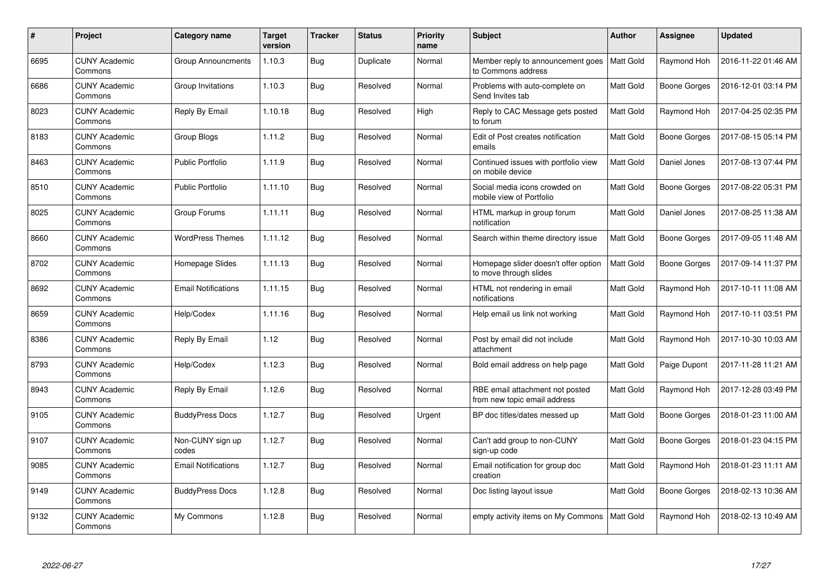| #    | Project                         | Category name              | <b>Target</b><br>version | <b>Tracker</b> | <b>Status</b> | <b>Priority</b><br>name | <b>Subject</b>                                                  | Author           | Assignee            | <b>Updated</b>      |
|------|---------------------------------|----------------------------|--------------------------|----------------|---------------|-------------------------|-----------------------------------------------------------------|------------------|---------------------|---------------------|
| 6695 | <b>CUNY Academic</b><br>Commons | <b>Group Announcments</b>  | 1.10.3                   | <b>Bug</b>     | Duplicate     | Normal                  | Member reply to announcement goes<br>to Commons address         | Matt Gold        | Raymond Hoh         | 2016-11-22 01:46 AM |
| 6686 | <b>CUNY Academic</b><br>Commons | Group Invitations          | 1.10.3                   | Bug            | Resolved      | Normal                  | Problems with auto-complete on<br>Send Invites tab              | Matt Gold        | <b>Boone Gorges</b> | 2016-12-01 03:14 PM |
| 8023 | <b>CUNY Academic</b><br>Commons | Reply By Email             | 1.10.18                  | <b>Bug</b>     | Resolved      | High                    | Reply to CAC Message gets posted<br>to forum                    | Matt Gold        | Raymond Hoh         | 2017-04-25 02:35 PM |
| 8183 | <b>CUNY Academic</b><br>Commons | Group Blogs                | 1.11.2                   | <b>Bug</b>     | Resolved      | Normal                  | Edit of Post creates notification<br>emails                     | Matt Gold        | <b>Boone Gorges</b> | 2017-08-15 05:14 PM |
| 8463 | <b>CUNY Academic</b><br>Commons | <b>Public Portfolio</b>    | 1.11.9                   | <b>Bug</b>     | Resolved      | Normal                  | Continued issues with portfolio view<br>on mobile device        | Matt Gold        | Daniel Jones        | 2017-08-13 07:44 PM |
| 8510 | <b>CUNY Academic</b><br>Commons | <b>Public Portfolio</b>    | 1.11.10                  | <b>Bug</b>     | Resolved      | Normal                  | Social media icons crowded on<br>mobile view of Portfolio       | Matt Gold        | <b>Boone Gorges</b> | 2017-08-22 05:31 PM |
| 8025 | <b>CUNY Academic</b><br>Commons | Group Forums               | 1.11.11                  | <b>Bug</b>     | Resolved      | Normal                  | HTML markup in group forum<br>notification                      | Matt Gold        | Daniel Jones        | 2017-08-25 11:38 AM |
| 8660 | <b>CUNY Academic</b><br>Commons | <b>WordPress Themes</b>    | 1.11.12                  | <b>Bug</b>     | Resolved      | Normal                  | Search within theme directory issue                             | Matt Gold        | <b>Boone Gorges</b> | 2017-09-05 11:48 AM |
| 8702 | <b>CUNY Academic</b><br>Commons | Homepage Slides            | 1.11.13                  | <b>Bug</b>     | Resolved      | Normal                  | Homepage slider doesn't offer option<br>to move through slides  | Matt Gold        | <b>Boone Gorges</b> | 2017-09-14 11:37 PM |
| 8692 | <b>CUNY Academic</b><br>Commons | <b>Email Notifications</b> | 1.11.15                  | <b>Bug</b>     | Resolved      | Normal                  | HTML not rendering in email<br>notifications                    | Matt Gold        | Raymond Hoh         | 2017-10-11 11:08 AM |
| 8659 | <b>CUNY Academic</b><br>Commons | Help/Codex                 | 1.11.16                  | Bug            | Resolved      | Normal                  | Help email us link not working                                  | Matt Gold        | Raymond Hoh         | 2017-10-11 03:51 PM |
| 8386 | <b>CUNY Academic</b><br>Commons | Reply By Email             | 1.12                     | <b>Bug</b>     | Resolved      | Normal                  | Post by email did not include<br>attachment                     | Matt Gold        | Raymond Hoh         | 2017-10-30 10:03 AM |
| 8793 | <b>CUNY Academic</b><br>Commons | Help/Codex                 | 1.12.3                   | <b>Bug</b>     | Resolved      | Normal                  | Bold email address on help page                                 | Matt Gold        | Paige Dupont        | 2017-11-28 11:21 AM |
| 8943 | <b>CUNY Academic</b><br>Commons | Reply By Email             | 1.12.6                   | <b>Bug</b>     | Resolved      | Normal                  | RBE email attachment not posted<br>from new topic email address | Matt Gold        | Raymond Hoh         | 2017-12-28 03:49 PM |
| 9105 | <b>CUNY Academic</b><br>Commons | <b>BuddyPress Docs</b>     | 1.12.7                   | <b>Bug</b>     | Resolved      | Urgent                  | BP doc titles/dates messed up                                   | Matt Gold        | <b>Boone Gorges</b> | 2018-01-23 11:00 AM |
| 9107 | <b>CUNY Academic</b><br>Commons | Non-CUNY sign up<br>codes  | 1.12.7                   | Bug            | Resolved      | Normal                  | Can't add group to non-CUNY<br>sign-up code                     | Matt Gold        | <b>Boone Gorges</b> | 2018-01-23 04:15 PM |
| 9085 | <b>CUNY Academic</b><br>Commons | <b>Email Notifications</b> | 1.12.7                   | Bug            | Resolved      | Normal                  | Email notification for group doc<br>creation                    | Matt Gold        | Raymond Hoh         | 2018-01-23 11:11 AM |
| 9149 | <b>CUNY Academic</b><br>Commons | <b>BuddyPress Docs</b>     | 1.12.8                   | <b>Bug</b>     | Resolved      | Normal                  | Doc listing layout issue                                        | Matt Gold        | <b>Boone Gorges</b> | 2018-02-13 10:36 AM |
| 9132 | <b>CUNY Academic</b><br>Commons | My Commons                 | 1.12.8                   | <b>Bug</b>     | Resolved      | Normal                  | empty activity items on My Commons                              | <b>Matt Gold</b> | Raymond Hoh         | 2018-02-13 10:49 AM |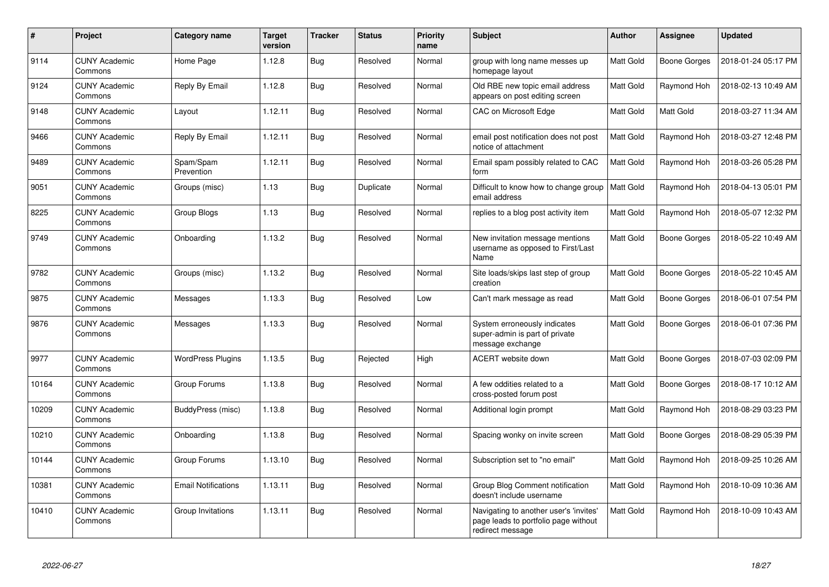| #     | Project                         | Category name              | <b>Target</b><br>version | <b>Tracker</b> | <b>Status</b> | <b>Priority</b><br>name | <b>Subject</b>                                                                                     | <b>Author</b> | Assignee            | <b>Updated</b>      |
|-------|---------------------------------|----------------------------|--------------------------|----------------|---------------|-------------------------|----------------------------------------------------------------------------------------------------|---------------|---------------------|---------------------|
| 9114  | <b>CUNY Academic</b><br>Commons | Home Page                  | 1.12.8                   | Bug            | Resolved      | Normal                  | group with long name messes up<br>homepage layout                                                  | Matt Gold     | Boone Gorges        | 2018-01-24 05:17 PM |
| 9124  | <b>CUNY Academic</b><br>Commons | Reply By Email             | 1.12.8                   | <b>Bug</b>     | Resolved      | Normal                  | Old RBE new topic email address<br>appears on post editing screen                                  | Matt Gold     | Raymond Hoh         | 2018-02-13 10:49 AM |
| 9148  | <b>CUNY Academic</b><br>Commons | Layout                     | 1.12.11                  | <b>Bug</b>     | Resolved      | Normal                  | CAC on Microsoft Edge                                                                              | Matt Gold     | Matt Gold           | 2018-03-27 11:34 AM |
| 9466  | <b>CUNY Academic</b><br>Commons | Reply By Email             | 1.12.11                  | <b>Bug</b>     | Resolved      | Normal                  | email post notification does not post<br>notice of attachment                                      | Matt Gold     | Raymond Hoh         | 2018-03-27 12:48 PM |
| 9489  | <b>CUNY Academic</b><br>Commons | Spam/Spam<br>Prevention    | 1.12.11                  | <b>Bug</b>     | Resolved      | Normal                  | Email spam possibly related to CAC<br>form                                                         | Matt Gold     | Raymond Hoh         | 2018-03-26 05:28 PM |
| 9051  | <b>CUNY Academic</b><br>Commons | Groups (misc)              | 1.13                     | Bug            | Duplicate     | Normal                  | Difficult to know how to change group<br>email address                                             | Matt Gold     | Raymond Hoh         | 2018-04-13 05:01 PM |
| 8225  | <b>CUNY Academic</b><br>Commons | Group Blogs                | 1.13                     | Bug            | Resolved      | Normal                  | replies to a blog post activity item                                                               | Matt Gold     | Raymond Hoh         | 2018-05-07 12:32 PM |
| 9749  | <b>CUNY Academic</b><br>Commons | Onboarding                 | 1.13.2                   | <b>Bug</b>     | Resolved      | Normal                  | New invitation message mentions<br>username as opposed to First/Last<br>Name                       | Matt Gold     | <b>Boone Gorges</b> | 2018-05-22 10:49 AM |
| 9782  | <b>CUNY Academic</b><br>Commons | Groups (misc)              | 1.13.2                   | Bug            | Resolved      | Normal                  | Site loads/skips last step of group<br>creation                                                    | Matt Gold     | Boone Gorges        | 2018-05-22 10:45 AM |
| 9875  | <b>CUNY Academic</b><br>Commons | Messages                   | 1.13.3                   | Bug            | Resolved      | Low                     | Can't mark message as read                                                                         | Matt Gold     | <b>Boone Gorges</b> | 2018-06-01 07:54 PM |
| 9876  | <b>CUNY Academic</b><br>Commons | Messages                   | 1.13.3                   | Bug            | Resolved      | Normal                  | System erroneously indicates<br>super-admin is part of private<br>message exchange                 | Matt Gold     | <b>Boone Gorges</b> | 2018-06-01 07:36 PM |
| 9977  | <b>CUNY Academic</b><br>Commons | <b>WordPress Plugins</b>   | 1.13.5                   | Bug            | Rejected      | High                    | ACERT website down                                                                                 | Matt Gold     | Boone Gorges        | 2018-07-03 02:09 PM |
| 10164 | <b>CUNY Academic</b><br>Commons | Group Forums               | 1.13.8                   | <b>Bug</b>     | Resolved      | Normal                  | A few oddities related to a<br>cross-posted forum post                                             | Matt Gold     | Boone Gorges        | 2018-08-17 10:12 AM |
| 10209 | <b>CUNY Academic</b><br>Commons | BuddyPress (misc)          | 1.13.8                   | Bug            | Resolved      | Normal                  | Additional login prompt                                                                            | Matt Gold     | Raymond Hoh         | 2018-08-29 03:23 PM |
| 10210 | <b>CUNY Academic</b><br>Commons | Onboarding                 | 1.13.8                   | <b>Bug</b>     | Resolved      | Normal                  | Spacing wonky on invite screen                                                                     | Matt Gold     | Boone Gorges        | 2018-08-29 05:39 PM |
| 10144 | <b>CUNY Academic</b><br>Commons | Group Forums               | 1.13.10                  | Bug            | Resolved      | Normal                  | Subscription set to "no email"                                                                     | Matt Gold     | Raymond Hoh         | 2018-09-25 10:26 AM |
| 10381 | <b>CUNY Academic</b><br>Commons | <b>Email Notifications</b> | 1.13.11                  | <b>Bug</b>     | Resolved      | Normal                  | Group Blog Comment notification<br>doesn't include username                                        | Matt Gold     | Raymond Hoh         | 2018-10-09 10:36 AM |
| 10410 | <b>CUNY Academic</b><br>Commons | Group Invitations          | 1.13.11                  | Bug            | Resolved      | Normal                  | Navigating to another user's 'invites'<br>page leads to portfolio page without<br>redirect message | Matt Gold     | Raymond Hoh         | 2018-10-09 10:43 AM |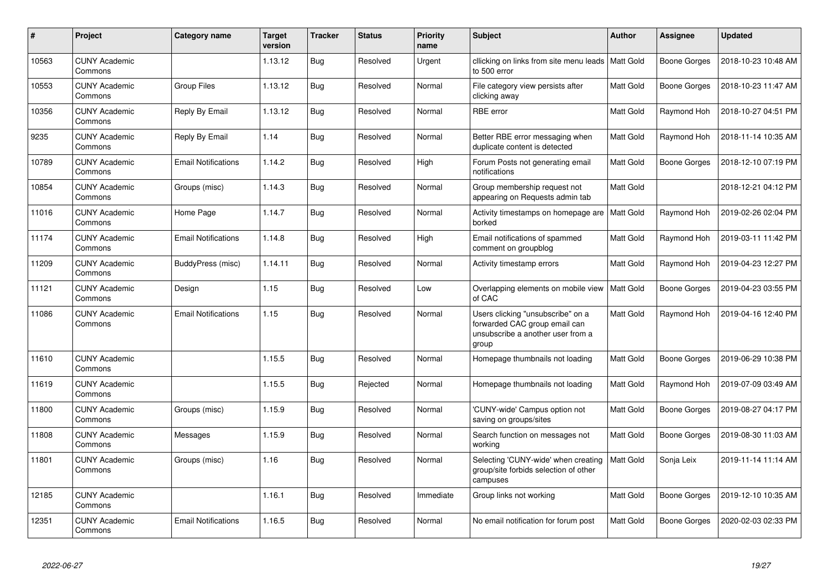| #     | Project                         | Category name              | <b>Target</b><br>version | <b>Tracker</b> | <b>Status</b> | <b>Priority</b><br>name | <b>Subject</b>                                                                                                   | <b>Author</b> | Assignee            | <b>Updated</b>      |
|-------|---------------------------------|----------------------------|--------------------------|----------------|---------------|-------------------------|------------------------------------------------------------------------------------------------------------------|---------------|---------------------|---------------------|
| 10563 | <b>CUNY Academic</b><br>Commons |                            | 1.13.12                  | Bug            | Resolved      | Urgent                  | cllicking on links from site menu leads<br>to 500 error                                                          | Matt Gold     | Boone Gorges        | 2018-10-23 10:48 AM |
| 10553 | <b>CUNY Academic</b><br>Commons | <b>Group Files</b>         | 1.13.12                  | Bug            | Resolved      | Normal                  | File category view persists after<br>clicking away                                                               | Matt Gold     | Boone Gorges        | 2018-10-23 11:47 AM |
| 10356 | <b>CUNY Academic</b><br>Commons | Reply By Email             | 1.13.12                  | Bug            | Resolved      | Normal                  | RBE error                                                                                                        | Matt Gold     | Raymond Hoh         | 2018-10-27 04:51 PM |
| 9235  | <b>CUNY Academic</b><br>Commons | Reply By Email             | 1.14                     | Bug            | Resolved      | Normal                  | Better RBE error messaging when<br>duplicate content is detected                                                 | Matt Gold     | Raymond Hoh         | 2018-11-14 10:35 AM |
| 10789 | <b>CUNY Academic</b><br>Commons | <b>Email Notifications</b> | 1.14.2                   | Bug            | Resolved      | High                    | Forum Posts not generating email<br>notifications                                                                | Matt Gold     | <b>Boone Gorges</b> | 2018-12-10 07:19 PM |
| 10854 | <b>CUNY Academic</b><br>Commons | Groups (misc)              | 1.14.3                   | <b>Bug</b>     | Resolved      | Normal                  | Group membership request not<br>appearing on Requests admin tab                                                  | Matt Gold     |                     | 2018-12-21 04:12 PM |
| 11016 | <b>CUNY Academic</b><br>Commons | Home Page                  | 1.14.7                   | <b>Bug</b>     | Resolved      | Normal                  | Activity timestamps on homepage are<br>borked                                                                    | Matt Gold     | Raymond Hoh         | 2019-02-26 02:04 PM |
| 11174 | <b>CUNY Academic</b><br>Commons | <b>Email Notifications</b> | 1.14.8                   | <b>Bug</b>     | Resolved      | High                    | Email notifications of spammed<br>comment on groupblog                                                           | Matt Gold     | Raymond Hoh         | 2019-03-11 11:42 PM |
| 11209 | <b>CUNY Academic</b><br>Commons | BuddyPress (misc)          | 1.14.11                  | <b>Bug</b>     | Resolved      | Normal                  | Activity timestamp errors                                                                                        | Matt Gold     | Raymond Hoh         | 2019-04-23 12:27 PM |
| 11121 | <b>CUNY Academic</b><br>Commons | Design                     | 1.15                     | <b>Bug</b>     | Resolved      | Low                     | Overlapping elements on mobile view<br>of CAC                                                                    | Matt Gold     | <b>Boone Gorges</b> | 2019-04-23 03:55 PM |
| 11086 | <b>CUNY Academic</b><br>Commons | <b>Email Notifications</b> | 1.15                     | <b>Bug</b>     | Resolved      | Normal                  | Users clicking "unsubscribe" on a<br>forwarded CAC group email can<br>unsubscribe a another user from a<br>group | Matt Gold     | Raymond Hoh         | 2019-04-16 12:40 PM |
| 11610 | <b>CUNY Academic</b><br>Commons |                            | 1.15.5                   | Bug            | Resolved      | Normal                  | Homepage thumbnails not loading                                                                                  | Matt Gold     | Boone Gorges        | 2019-06-29 10:38 PM |
| 11619 | <b>CUNY Academic</b><br>Commons |                            | 1.15.5                   | <b>Bug</b>     | Rejected      | Normal                  | Homepage thumbnails not loading                                                                                  | Matt Gold     | Raymond Hoh         | 2019-07-09 03:49 AM |
| 11800 | <b>CUNY Academic</b><br>Commons | Groups (misc)              | 1.15.9                   | <b>Bug</b>     | Resolved      | Normal                  | 'CUNY-wide' Campus option not<br>saving on groups/sites                                                          | Matt Gold     | Boone Gorges        | 2019-08-27 04:17 PM |
| 11808 | <b>CUNY Academic</b><br>Commons | Messages                   | 1.15.9                   | <b>Bug</b>     | Resolved      | Normal                  | Search function on messages not<br>working                                                                       | Matt Gold     | <b>Boone Gorges</b> | 2019-08-30 11:03 AM |
| 11801 | <b>CUNY Academic</b><br>Commons | Groups (misc)              | 1.16                     | Bug            | Resolved      | Normal                  | Selecting 'CUNY-wide' when creating<br>group/site forbids selection of other<br>campuses                         | Matt Gold     | Sonja Leix          | 2019-11-14 11:14 AM |
| 12185 | <b>CUNY Academic</b><br>Commons |                            | 1.16.1                   | Bug            | Resolved      | Immediate               | Group links not working                                                                                          | Matt Gold     | <b>Boone Gorges</b> | 2019-12-10 10:35 AM |
| 12351 | <b>CUNY Academic</b><br>Commons | <b>Email Notifications</b> | 1.16.5                   | Bug            | Resolved      | Normal                  | No email notification for forum post                                                                             | Matt Gold     | Boone Gorges        | 2020-02-03 02:33 PM |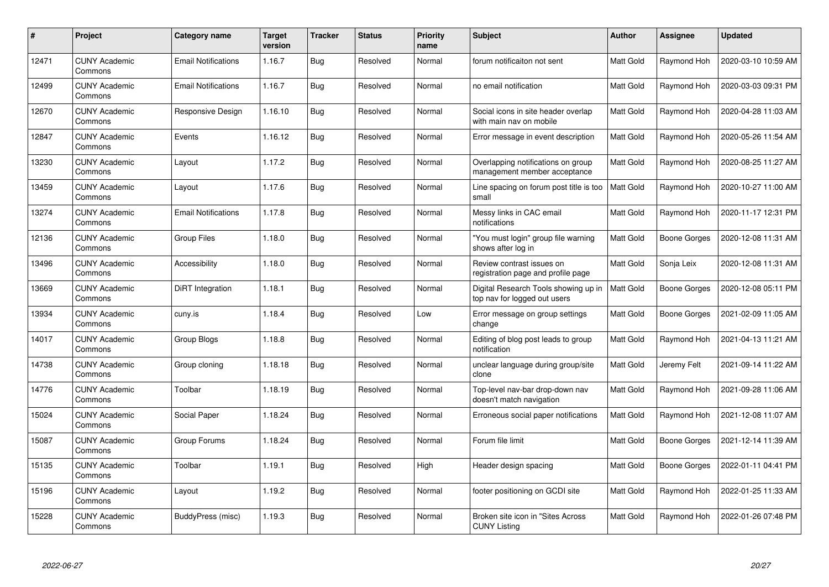| $\#$  | Project                         | <b>Category name</b>       | <b>Target</b><br>version | <b>Tracker</b> | <b>Status</b> | <b>Priority</b><br>name | <b>Subject</b>                                                       | <b>Author</b> | Assignee     | <b>Updated</b>      |
|-------|---------------------------------|----------------------------|--------------------------|----------------|---------------|-------------------------|----------------------------------------------------------------------|---------------|--------------|---------------------|
| 12471 | <b>CUNY Academic</b><br>Commons | <b>Email Notifications</b> | 1.16.7                   | <b>Bug</b>     | Resolved      | Normal                  | forum notificaiton not sent                                          | Matt Gold     | Raymond Hoh  | 2020-03-10 10:59 AM |
| 12499 | <b>CUNY Academic</b><br>Commons | <b>Email Notifications</b> | 1.16.7                   | <b>Bug</b>     | Resolved      | Normal                  | no email notification                                                | Matt Gold     | Raymond Hoh  | 2020-03-03 09:31 PM |
| 12670 | <b>CUNY Academic</b><br>Commons | Responsive Design          | 1.16.10                  | Bug            | Resolved      | Normal                  | Social icons in site header overlap<br>with main nav on mobile       | Matt Gold     | Raymond Hoh  | 2020-04-28 11:03 AM |
| 12847 | <b>CUNY Academic</b><br>Commons | Events                     | 1.16.12                  | Bug            | Resolved      | Normal                  | Error message in event description                                   | Matt Gold     | Raymond Hoh  | 2020-05-26 11:54 AM |
| 13230 | <b>CUNY Academic</b><br>Commons | Layout                     | 1.17.2                   | Bug            | Resolved      | Normal                  | Overlapping notifications on group<br>management member acceptance   | Matt Gold     | Raymond Hoh  | 2020-08-25 11:27 AM |
| 13459 | <b>CUNY Academic</b><br>Commons | Layout                     | 1.17.6                   | Bug            | Resolved      | Normal                  | Line spacing on forum post title is too<br>small                     | Matt Gold     | Raymond Hoh  | 2020-10-27 11:00 AM |
| 13274 | <b>CUNY Academic</b><br>Commons | <b>Email Notifications</b> | 1.17.8                   | Bug            | Resolved      | Normal                  | Messy links in CAC email<br>notifications                            | Matt Gold     | Raymond Hoh  | 2020-11-17 12:31 PM |
| 12136 | <b>CUNY Academic</b><br>Commons | <b>Group Files</b>         | 1.18.0                   | Bug            | Resolved      | Normal                  | "You must login" group file warning<br>shows after log in            | Matt Gold     | Boone Gorges | 2020-12-08 11:31 AM |
| 13496 | <b>CUNY Academic</b><br>Commons | Accessibility              | 1.18.0                   | <b>Bug</b>     | Resolved      | Normal                  | Review contrast issues on<br>registration page and profile page      | Matt Gold     | Sonja Leix   | 2020-12-08 11:31 AM |
| 13669 | <b>CUNY Academic</b><br>Commons | DiRT Integration           | 1.18.1                   | Bug            | Resolved      | Normal                  | Digital Research Tools showing up in<br>top nav for logged out users | Matt Gold     | Boone Gorges | 2020-12-08 05:11 PM |
| 13934 | <b>CUNY Academic</b><br>Commons | cuny.is                    | 1.18.4                   | Bug            | Resolved      | Low                     | Error message on group settings<br>change                            | Matt Gold     | Boone Gorges | 2021-02-09 11:05 AM |
| 14017 | <b>CUNY Academic</b><br>Commons | Group Blogs                | 1.18.8                   | Bug            | Resolved      | Normal                  | Editing of blog post leads to group<br>notification                  | Matt Gold     | Raymond Hoh  | 2021-04-13 11:21 AM |
| 14738 | <b>CUNY Academic</b><br>Commons | Group cloning              | 1.18.18                  | <b>Bug</b>     | Resolved      | Normal                  | unclear language during group/site<br>clone                          | Matt Gold     | Jeremy Felt  | 2021-09-14 11:22 AM |
| 14776 | <b>CUNY Academic</b><br>Commons | Toolbar                    | 1.18.19                  | Bug            | Resolved      | Normal                  | Top-level nav-bar drop-down nav<br>doesn't match navigation          | Matt Gold     | Raymond Hoh  | 2021-09-28 11:06 AM |
| 15024 | <b>CUNY Academic</b><br>Commons | Social Paper               | 1.18.24                  | Bug            | Resolved      | Normal                  | Erroneous social paper notifications                                 | Matt Gold     | Raymond Hoh  | 2021-12-08 11:07 AM |
| 15087 | <b>CUNY Academic</b><br>Commons | Group Forums               | 1.18.24                  | <b>Bug</b>     | Resolved      | Normal                  | Forum file limit                                                     | Matt Gold     | Boone Gorges | 2021-12-14 11:39 AM |
| 15135 | <b>CUNY Academic</b><br>Commons | Toolbar                    | 1.19.1                   | <b>Bug</b>     | Resolved      | High                    | Header design spacing                                                | Matt Gold     | Boone Gorges | 2022-01-11 04:41 PM |
| 15196 | <b>CUNY Academic</b><br>Commons | Layout                     | 1.19.2                   | Bug            | Resolved      | Normal                  | footer positioning on GCDI site                                      | Matt Gold     | Raymond Hoh  | 2022-01-25 11:33 AM |
| 15228 | <b>CUNY Academic</b><br>Commons | BuddyPress (misc)          | 1.19.3                   | <b>Bug</b>     | Resolved      | Normal                  | Broken site icon in "Sites Across<br><b>CUNY Listing</b>             | Matt Gold     | Raymond Hoh  | 2022-01-26 07:48 PM |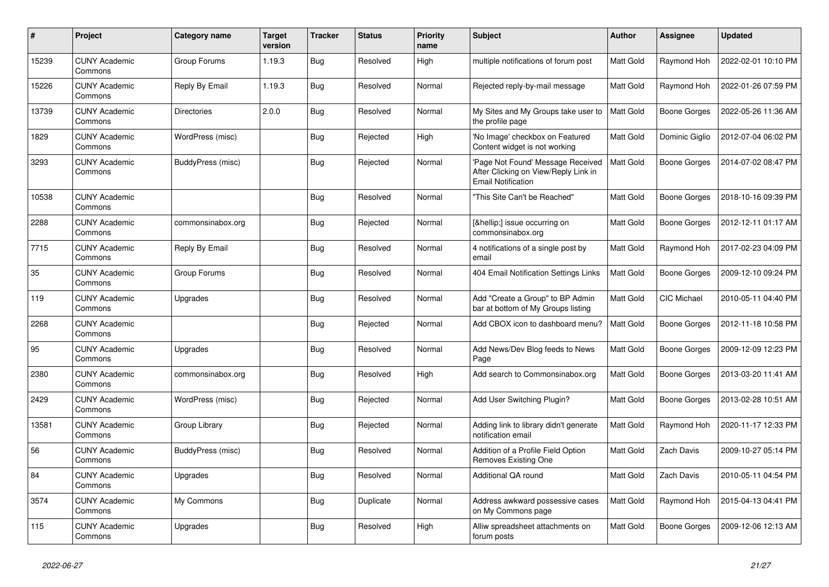| #     | Project                         | <b>Category name</b> | <b>Target</b><br>version | <b>Tracker</b> | <b>Status</b> | <b>Priority</b><br>name | <b>Subject</b>                                                                                         | Author    | <b>Assignee</b>     | <b>Updated</b>      |
|-------|---------------------------------|----------------------|--------------------------|----------------|---------------|-------------------------|--------------------------------------------------------------------------------------------------------|-----------|---------------------|---------------------|
| 15239 | <b>CUNY Academic</b><br>Commons | Group Forums         | 1.19.3                   | Bug            | Resolved      | High                    | multiple notifications of forum post                                                                   | Matt Gold | Raymond Hoh         | 2022-02-01 10:10 PM |
| 15226 | <b>CUNY Academic</b><br>Commons | Reply By Email       | 1.19.3                   | Bug            | Resolved      | Normal                  | Rejected reply-by-mail message                                                                         | Matt Gold | Raymond Hoh         | 2022-01-26 07:59 PM |
| 13739 | <b>CUNY Academic</b><br>Commons | <b>Directories</b>   | 2.0.0                    | <b>Bug</b>     | Resolved      | Normal                  | My Sites and My Groups take user to<br>the profile page                                                | Matt Gold | Boone Gorges        | 2022-05-26 11:36 AM |
| 1829  | <b>CUNY Academic</b><br>Commons | WordPress (misc)     |                          | Bug            | Rejected      | High                    | 'No Image' checkbox on Featured<br>Content widget is not working                                       | Matt Gold | Dominic Giglio      | 2012-07-04 06:02 PM |
| 3293  | <b>CUNY Academic</b><br>Commons | BuddyPress (misc)    |                          | Bug            | Rejected      | Normal                  | 'Page Not Found' Message Received<br>After Clicking on View/Reply Link in<br><b>Email Notification</b> | Matt Gold | Boone Gorges        | 2014-07-02 08:47 PM |
| 10538 | <b>CUNY Academic</b><br>Commons |                      |                          | <b>Bug</b>     | Resolved      | Normal                  | "This Site Can't be Reached"                                                                           | Matt Gold | <b>Boone Gorges</b> | 2018-10-16 09:39 PM |
| 2288  | <b>CUNY Academic</b><br>Commons | commonsinabox.org    |                          | Bug            | Rejected      | Normal                  | […] issue occurring on<br>commonsinabox.org                                                            | Matt Gold | Boone Gorges        | 2012-12-11 01:17 AM |
| 7715  | <b>CUNY Academic</b><br>Commons | Reply By Email       |                          | Bug            | Resolved      | Normal                  | 4 notifications of a single post by<br>email                                                           | Matt Gold | Raymond Hoh         | 2017-02-23 04:09 PM |
| 35    | <b>CUNY Academic</b><br>Commons | Group Forums         |                          | <b>Bug</b>     | Resolved      | Normal                  | 404 Email Notification Settings Links                                                                  | Matt Gold | Boone Gorges        | 2009-12-10 09:24 PM |
| 119   | <b>CUNY Academic</b><br>Commons | Upgrades             |                          | <b>Bug</b>     | Resolved      | Normal                  | Add "Create a Group" to BP Admin<br>bar at bottom of My Groups listing                                 | Matt Gold | <b>CIC Michael</b>  | 2010-05-11 04:40 PM |
| 2268  | <b>CUNY Academic</b><br>Commons |                      |                          | Bug            | Rejected      | Normal                  | Add CBOX icon to dashboard menu?                                                                       | Matt Gold | Boone Gorges        | 2012-11-18 10:58 PM |
| 95    | <b>CUNY Academic</b><br>Commons | Upgrades             |                          | <b>Bug</b>     | Resolved      | Normal                  | Add News/Dev Blog feeds to News<br>Page                                                                | Matt Gold | Boone Gorges        | 2009-12-09 12:23 PM |
| 2380  | <b>CUNY Academic</b><br>Commons | commonsinabox.org    |                          | Bug            | Resolved      | High                    | Add search to Commonsinabox.org                                                                        | Matt Gold | Boone Gorges        | 2013-03-20 11:41 AM |
| 2429  | <b>CUNY Academic</b><br>Commons | WordPress (misc)     |                          | Bug            | Rejected      | Normal                  | Add User Switching Plugin?                                                                             | Matt Gold | Boone Gorges        | 2013-02-28 10:51 AM |
| 13581 | <b>CUNY Academic</b><br>Commons | Group Library        |                          | Bug            | Rejected      | Normal                  | Adding link to library didn't generate<br>notification email                                           | Matt Gold | Raymond Hoh         | 2020-11-17 12:33 PM |
| 56    | <b>CUNY Academic</b><br>Commons | BuddyPress (misc)    |                          | Bug            | Resolved      | Normal                  | Addition of a Profile Field Option<br>Removes Existing One                                             | Matt Gold | <b>Zach Davis</b>   | 2009-10-27 05:14 PM |
| 84    | <b>CUNY Academic</b><br>Commons | Upgrades             |                          | Bug            | Resolved      | Normal                  | Additional QA round                                                                                    | Matt Gold | Zach Davis          | 2010-05-11 04:54 PM |
| 3574  | <b>CUNY Academic</b><br>Commons | My Commons           |                          | <b>Bug</b>     | Duplicate     | Normal                  | Address awkward possessive cases<br>on My Commons page                                                 | Matt Gold | Raymond Hoh         | 2015-04-13 04:41 PM |
| 115   | <b>CUNY Academic</b><br>Commons | Upgrades             |                          | <b>Bug</b>     | Resolved      | High                    | Alliw spreadsheet attachments on<br>forum posts                                                        | Matt Gold | Boone Gorges        | 2009-12-06 12:13 AM |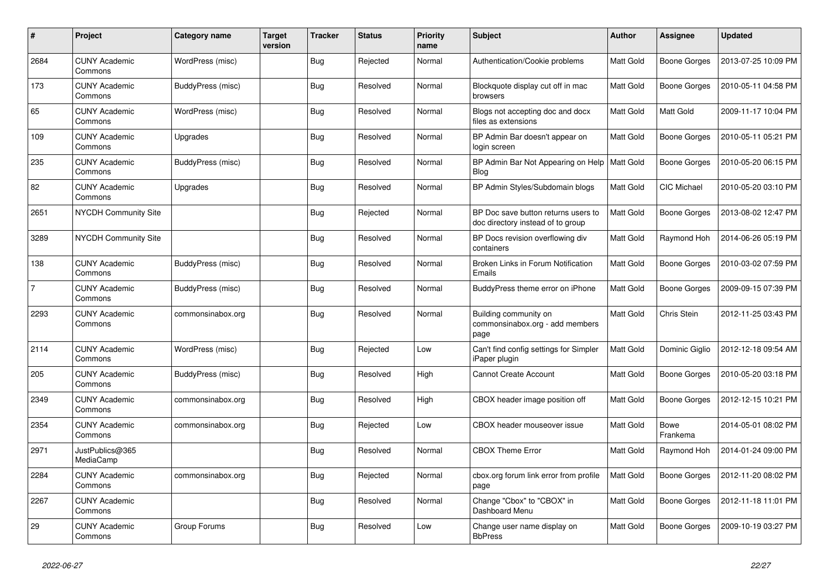| $\#$           | Project                         | <b>Category name</b> | <b>Target</b><br>version | <b>Tracker</b> | <b>Status</b> | <b>Priority</b><br>name | <b>Subject</b>                                                           | <b>Author</b> | Assignee                | <b>Updated</b>      |
|----------------|---------------------------------|----------------------|--------------------------|----------------|---------------|-------------------------|--------------------------------------------------------------------------|---------------|-------------------------|---------------------|
| 2684           | <b>CUNY Academic</b><br>Commons | WordPress (misc)     |                          | <b>Bug</b>     | Rejected      | Normal                  | Authentication/Cookie problems                                           | Matt Gold     | Boone Gorges            | 2013-07-25 10:09 PM |
| 173            | <b>CUNY Academic</b><br>Commons | BuddyPress (misc)    |                          | Bug            | Resolved      | Normal                  | Blockquote display cut off in mac<br>browsers                            | Matt Gold     | Boone Gorges            | 2010-05-11 04:58 PM |
| 65             | <b>CUNY Academic</b><br>Commons | WordPress (misc)     |                          | <b>Bug</b>     | Resolved      | Normal                  | Blogs not accepting doc and docx<br>files as extensions                  | Matt Gold     | Matt Gold               | 2009-11-17 10:04 PM |
| 109            | <b>CUNY Academic</b><br>Commons | Upgrades             |                          | Bug            | Resolved      | Normal                  | BP Admin Bar doesn't appear on<br>login screen                           | Matt Gold     | Boone Gorges            | 2010-05-11 05:21 PM |
| 235            | <b>CUNY Academic</b><br>Commons | BuddyPress (misc)    |                          | Bug            | Resolved      | Normal                  | BP Admin Bar Not Appearing on Help<br>Blog                               | Matt Gold     | Boone Gorges            | 2010-05-20 06:15 PM |
| 82             | <b>CUNY Academic</b><br>Commons | Upgrades             |                          | Bug            | Resolved      | Normal                  | BP Admin Styles/Subdomain blogs                                          | Matt Gold     | <b>CIC Michael</b>      | 2010-05-20 03:10 PM |
| 2651           | <b>NYCDH Community Site</b>     |                      |                          | Bug            | Rejected      | Normal                  | BP Doc save button returns users to<br>doc directory instead of to group | Matt Gold     | Boone Gorges            | 2013-08-02 12:47 PM |
| 3289           | <b>NYCDH Community Site</b>     |                      |                          | <b>Bug</b>     | Resolved      | Normal                  | BP Docs revision overflowing div<br>containers                           | Matt Gold     | Raymond Hoh             | 2014-06-26 05:19 PM |
| 138            | <b>CUNY Academic</b><br>Commons | BuddyPress (misc)    |                          | <b>Bug</b>     | Resolved      | Normal                  | Broken Links in Forum Notification<br>Emails                             | Matt Gold     | Boone Gorges            | 2010-03-02 07:59 PM |
| $\overline{7}$ | <b>CUNY Academic</b><br>Commons | BuddyPress (misc)    |                          | Bug            | Resolved      | Normal                  | BuddyPress theme error on iPhone                                         | Matt Gold     | <b>Boone Gorges</b>     | 2009-09-15 07:39 PM |
| 2293           | <b>CUNY Academic</b><br>Commons | commonsinabox.org    |                          | <b>Bug</b>     | Resolved      | Normal                  | Building community on<br>commonsinabox.org - add members<br>page         | Matt Gold     | Chris Stein             | 2012-11-25 03:43 PM |
| 2114           | <b>CUNY Academic</b><br>Commons | WordPress (misc)     |                          | <b>Bug</b>     | Rejected      | Low                     | Can't find config settings for Simpler<br>iPaper plugin                  | Matt Gold     | Dominic Giglio          | 2012-12-18 09:54 AM |
| 205            | <b>CUNY Academic</b><br>Commons | BuddyPress (misc)    |                          | Bug            | Resolved      | High                    | <b>Cannot Create Account</b>                                             | Matt Gold     | Boone Gorges            | 2010-05-20 03:18 PM |
| 2349           | <b>CUNY Academic</b><br>Commons | commonsinabox.org    |                          | Bug            | Resolved      | High                    | CBOX header image position off                                           | Matt Gold     | Boone Gorges            | 2012-12-15 10:21 PM |
| 2354           | <b>CUNY Academic</b><br>Commons | commonsinabox.org    |                          | <b>Bug</b>     | Rejected      | Low                     | CBOX header mouseover issue                                              | Matt Gold     | <b>Bowe</b><br>Frankema | 2014-05-01 08:02 PM |
| 2971           | JustPublics@365<br>MediaCamp    |                      |                          | Bug            | Resolved      | Normal                  | <b>CBOX Theme Error</b>                                                  | Matt Gold     | Raymond Hoh             | 2014-01-24 09:00 PM |
| 2284           | <b>CUNY Academic</b><br>Commons | commonsinabox.org    |                          | Bug            | Rejected      | Normal                  | cbox.org forum link error from profile<br>page                           | Matt Gold     | Boone Gorges            | 2012-11-20 08:02 PM |
| 2267           | <b>CUNY Academic</b><br>Commons |                      |                          | <b>Bug</b>     | Resolved      | Normal                  | Change "Cbox" to "CBOX" in<br>Dashboard Menu                             | Matt Gold     | Boone Gorges            | 2012-11-18 11:01 PM |
| 29             | <b>CUNY Academic</b><br>Commons | Group Forums         |                          | <b>Bug</b>     | Resolved      | Low                     | Change user name display on<br><b>BbPress</b>                            | Matt Gold     | Boone Gorges            | 2009-10-19 03:27 PM |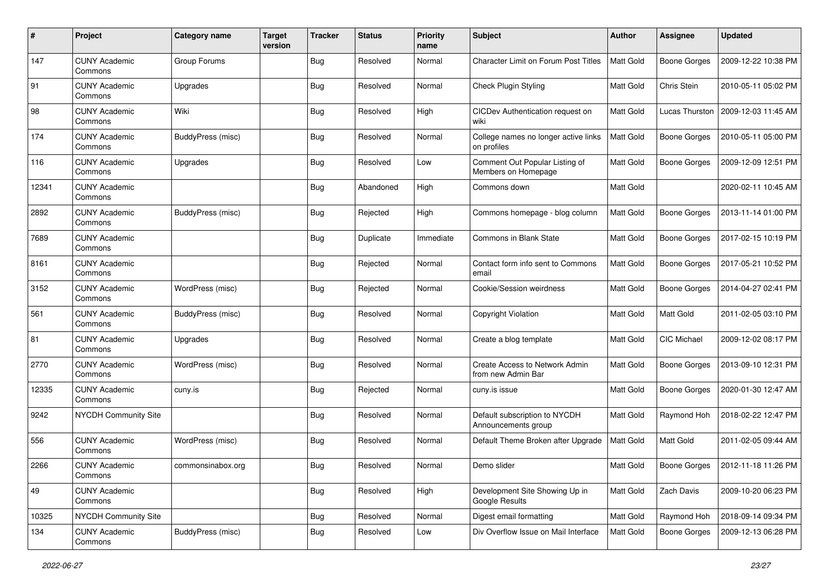| #     | Project                         | <b>Category name</b> | <b>Target</b><br>version | <b>Tracker</b> | <b>Status</b> | <b>Priority</b><br>name | Subject                                               | Author           | <b>Assignee</b>     | <b>Updated</b>      |
|-------|---------------------------------|----------------------|--------------------------|----------------|---------------|-------------------------|-------------------------------------------------------|------------------|---------------------|---------------------|
| 147   | <b>CUNY Academic</b><br>Commons | Group Forums         |                          | <b>Bug</b>     | Resolved      | Normal                  | <b>Character Limit on Forum Post Titles</b>           | Matt Gold        | <b>Boone Gorges</b> | 2009-12-22 10:38 PM |
| 91    | <b>CUNY Academic</b><br>Commons | Upgrades             |                          | <b>Bug</b>     | Resolved      | Normal                  | <b>Check Plugin Styling</b>                           | Matt Gold        | Chris Stein         | 2010-05-11 05:02 PM |
| 98    | <b>CUNY Academic</b><br>Commons | Wiki                 |                          | <b>Bug</b>     | Resolved      | High                    | CICDev Authentication request on<br>wiki              | Matt Gold        | Lucas Thurston      | 2009-12-03 11:45 AM |
| 174   | <b>CUNY Academic</b><br>Commons | BuddyPress (misc)    |                          | Bug            | Resolved      | Normal                  | College names no longer active links<br>on profiles   | Matt Gold        | <b>Boone Gorges</b> | 2010-05-11 05:00 PM |
| 116   | <b>CUNY Academic</b><br>Commons | Upgrades             |                          | <b>Bug</b>     | Resolved      | Low                     | Comment Out Popular Listing of<br>Members on Homepage | Matt Gold        | <b>Boone Gorges</b> | 2009-12-09 12:51 PM |
| 12341 | <b>CUNY Academic</b><br>Commons |                      |                          | <b>Bug</b>     | Abandoned     | High                    | Commons down                                          | Matt Gold        |                     | 2020-02-11 10:45 AM |
| 2892  | <b>CUNY Academic</b><br>Commons | BuddyPress (misc)    |                          | <b>Bug</b>     | Rejected      | High                    | Commons homepage - blog column                        | Matt Gold        | <b>Boone Gorges</b> | 2013-11-14 01:00 PM |
| 7689  | <b>CUNY Academic</b><br>Commons |                      |                          | <b>Bug</b>     | Duplicate     | Immediate               | Commons in Blank State                                | Matt Gold        | <b>Boone Gorges</b> | 2017-02-15 10:19 PM |
| 8161  | <b>CUNY Academic</b><br>Commons |                      |                          | Bug            | Rejected      | Normal                  | Contact form info sent to Commons<br>email            | Matt Gold        | <b>Boone Gorges</b> | 2017-05-21 10:52 PM |
| 3152  | <b>CUNY Academic</b><br>Commons | WordPress (misc)     |                          | <b>Bug</b>     | Rejected      | Normal                  | Cookie/Session weirdness                              | Matt Gold        | <b>Boone Gorges</b> | 2014-04-27 02:41 PM |
| 561   | <b>CUNY Academic</b><br>Commons | BuddyPress (misc)    |                          | <b>Bug</b>     | Resolved      | Normal                  | Copyright Violation                                   | Matt Gold        | Matt Gold           | 2011-02-05 03:10 PM |
| 81    | <b>CUNY Academic</b><br>Commons | Upgrades             |                          | <b>Bug</b>     | Resolved      | Normal                  | Create a blog template                                | <b>Matt Gold</b> | CIC Michael         | 2009-12-02 08:17 PM |
| 2770  | <b>CUNY Academic</b><br>Commons | WordPress (misc)     |                          | <b>Bug</b>     | Resolved      | Normal                  | Create Access to Network Admin<br>from new Admin Bar  | Matt Gold        | <b>Boone Gorges</b> | 2013-09-10 12:31 PM |
| 12335 | <b>CUNY Academic</b><br>Commons | cuny.is              |                          | <b>Bug</b>     | Rejected      | Normal                  | cuny.is issue                                         | Matt Gold        | <b>Boone Gorges</b> | 2020-01-30 12:47 AM |
| 9242  | <b>NYCDH Community Site</b>     |                      |                          | <b>Bug</b>     | Resolved      | Normal                  | Default subscription to NYCDH<br>Announcements group  | Matt Gold        | Raymond Hoh         | 2018-02-22 12:47 PM |
| 556   | <b>CUNY Academic</b><br>Commons | WordPress (misc)     |                          | <b>Bug</b>     | Resolved      | Normal                  | Default Theme Broken after Upgrade                    | Matt Gold        | Matt Gold           | 2011-02-05 09:44 AM |
| 2266  | <b>CUNY Academic</b><br>Commons | commonsinabox.org    |                          | Bug            | Resolved      | Normal                  | Demo slider                                           | Matt Gold        | <b>Boone Gorges</b> | 2012-11-18 11:26 PM |
| 49    | <b>CUNY Academic</b><br>Commons |                      |                          | <b>Bug</b>     | Resolved      | High                    | Development Site Showing Up in<br>Google Results      | Matt Gold        | Zach Davis          | 2009-10-20 06:23 PM |
| 10325 | NYCDH Community Site            |                      |                          | <b>Bug</b>     | Resolved      | Normal                  | Digest email formatting                               | Matt Gold        | Raymond Hoh         | 2018-09-14 09:34 PM |
| 134   | <b>CUNY Academic</b><br>Commons | BuddyPress (misc)    |                          | Bug            | Resolved      | Low                     | Div Overflow Issue on Mail Interface                  | Matt Gold        | <b>Boone Gorges</b> | 2009-12-13 06:28 PM |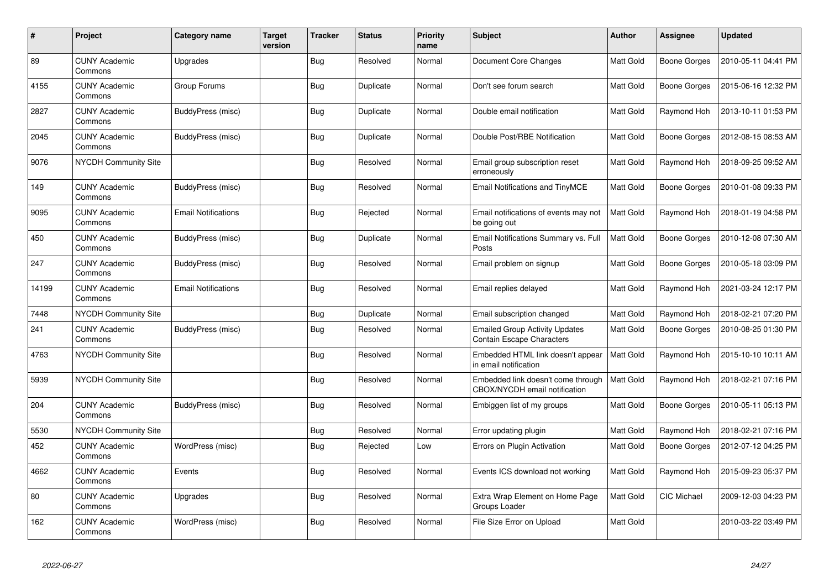| #     | Project                         | Category name              | <b>Target</b><br>version | <b>Tracker</b> | <b>Status</b> | <b>Priority</b><br>name | <b>Subject</b>                                                      | <b>Author</b> | Assignee            | <b>Updated</b>      |
|-------|---------------------------------|----------------------------|--------------------------|----------------|---------------|-------------------------|---------------------------------------------------------------------|---------------|---------------------|---------------------|
| 89    | <b>CUNY Academic</b><br>Commons | Upgrades                   |                          | Bug            | Resolved      | Normal                  | Document Core Changes                                               | Matt Gold     | <b>Boone Gorges</b> | 2010-05-11 04:41 PM |
| 4155  | <b>CUNY Academic</b><br>Commons | Group Forums               |                          | Bug            | Duplicate     | Normal                  | Don't see forum search                                              | Matt Gold     | Boone Gorges        | 2015-06-16 12:32 PM |
| 2827  | <b>CUNY Academic</b><br>Commons | BuddyPress (misc)          |                          | <b>Bug</b>     | Duplicate     | Normal                  | Double email notification                                           | Matt Gold     | Raymond Hoh         | 2013-10-11 01:53 PM |
| 2045  | <b>CUNY Academic</b><br>Commons | BuddyPress (misc)          |                          | Bug            | Duplicate     | Normal                  | Double Post/RBE Notification                                        | Matt Gold     | Boone Gorges        | 2012-08-15 08:53 AM |
| 9076  | <b>NYCDH Community Site</b>     |                            |                          | Bug            | Resolved      | Normal                  | Email group subscription reset<br>erroneously                       | Matt Gold     | Raymond Hoh         | 2018-09-25 09:52 AM |
| 149   | <b>CUNY Academic</b><br>Commons | BuddyPress (misc)          |                          | <b>Bug</b>     | Resolved      | Normal                  | Email Notifications and TinyMCE                                     | Matt Gold     | Boone Gorges        | 2010-01-08 09:33 PM |
| 9095  | <b>CUNY Academic</b><br>Commons | <b>Email Notifications</b> |                          | <b>Bug</b>     | Rejected      | Normal                  | Email notifications of events may not<br>be going out               | Matt Gold     | Raymond Hoh         | 2018-01-19 04:58 PM |
| 450   | <b>CUNY Academic</b><br>Commons | BuddyPress (misc)          |                          | Bug            | Duplicate     | Normal                  | Email Notifications Summary vs. Full<br>Posts                       | Matt Gold     | <b>Boone Gorges</b> | 2010-12-08 07:30 AM |
| 247   | <b>CUNY Academic</b><br>Commons | BuddyPress (misc)          |                          | Bug            | Resolved      | Normal                  | Email problem on signup                                             | Matt Gold     | Boone Gorges        | 2010-05-18 03:09 PM |
| 14199 | <b>CUNY Academic</b><br>Commons | <b>Email Notifications</b> |                          | <b>Bug</b>     | Resolved      | Normal                  | Email replies delayed                                               | Matt Gold     | Raymond Hoh         | 2021-03-24 12:17 PM |
| 7448  | <b>NYCDH Community Site</b>     |                            |                          | <b>Bug</b>     | Duplicate     | Normal                  | Email subscription changed                                          | Matt Gold     | Raymond Hoh         | 2018-02-21 07:20 PM |
| 241   | <b>CUNY Academic</b><br>Commons | BuddyPress (misc)          |                          | Bug            | Resolved      | Normal                  | <b>Emailed Group Activity Updates</b><br>Contain Escape Characters  | Matt Gold     | Boone Gorges        | 2010-08-25 01:30 PM |
| 4763  | <b>NYCDH Community Site</b>     |                            |                          | <b>Bug</b>     | Resolved      | Normal                  | Embedded HTML link doesn't appear<br>in email notification          | Matt Gold     | Raymond Hoh         | 2015-10-10 10:11 AM |
| 5939  | <b>NYCDH Community Site</b>     |                            |                          | Bug            | Resolved      | Normal                  | Embedded link doesn't come through<br>CBOX/NYCDH email notification | Matt Gold     | Raymond Hoh         | 2018-02-21 07:16 PM |
| 204   | <b>CUNY Academic</b><br>Commons | BuddyPress (misc)          |                          | Bug            | Resolved      | Normal                  | Embiggen list of my groups                                          | Matt Gold     | <b>Boone Gorges</b> | 2010-05-11 05:13 PM |
| 5530  | <b>NYCDH Community Site</b>     |                            |                          | Bug            | Resolved      | Normal                  | Error updating plugin                                               | Matt Gold     | Raymond Hoh         | 2018-02-21 07:16 PM |
| 452   | <b>CUNY Academic</b><br>Commons | WordPress (misc)           |                          | <b>Bug</b>     | Rejected      | Low                     | Errors on Plugin Activation                                         | Matt Gold     | <b>Boone Gorges</b> | 2012-07-12 04:25 PM |
| 4662  | <b>CUNY Academic</b><br>Commons | Events                     |                          | Bug            | Resolved      | Normal                  | Events ICS download not working                                     | Matt Gold     | Raymond Hoh         | 2015-09-23 05:37 PM |
| 80    | <b>CUNY Academic</b><br>Commons | Upgrades                   |                          | <b>Bug</b>     | Resolved      | Normal                  | Extra Wrap Element on Home Page<br>Groups Loader                    | Matt Gold     | <b>CIC Michael</b>  | 2009-12-03 04:23 PM |
| 162   | <b>CUNY Academic</b><br>Commons | WordPress (misc)           |                          | <b>Bug</b>     | Resolved      | Normal                  | File Size Error on Upload                                           | Matt Gold     |                     | 2010-03-22 03:49 PM |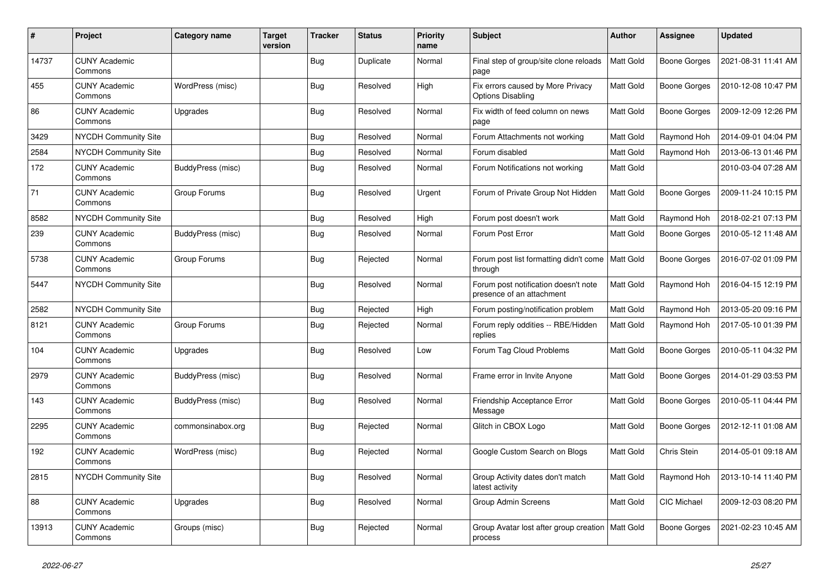| #     | Project                         | <b>Category name</b> | <b>Target</b><br>version | <b>Tracker</b> | <b>Status</b> | <b>Priority</b><br>name | Subject                                                           | <b>Author</b> | <b>Assignee</b>     | <b>Updated</b>      |
|-------|---------------------------------|----------------------|--------------------------|----------------|---------------|-------------------------|-------------------------------------------------------------------|---------------|---------------------|---------------------|
| 14737 | <b>CUNY Academic</b><br>Commons |                      |                          | <b>Bug</b>     | Duplicate     | Normal                  | Final step of group/site clone reloads<br>page                    | Matt Gold     | <b>Boone Gorges</b> | 2021-08-31 11:41 AM |
| 455   | <b>CUNY Academic</b><br>Commons | WordPress (misc)     |                          | Bug            | Resolved      | High                    | Fix errors caused by More Privacy<br><b>Options Disabling</b>     | Matt Gold     | Boone Gorges        | 2010-12-08 10:47 PM |
| 86    | <b>CUNY Academic</b><br>Commons | Upgrades             |                          | <b>Bug</b>     | Resolved      | Normal                  | Fix width of feed column on news<br>page                          | Matt Gold     | Boone Gorges        | 2009-12-09 12:26 PM |
| 3429  | NYCDH Community Site            |                      |                          | <b>Bug</b>     | Resolved      | Normal                  | Forum Attachments not working                                     | Matt Gold     | Raymond Hoh         | 2014-09-01 04:04 PM |
| 2584  | NYCDH Community Site            |                      |                          | <b>Bug</b>     | Resolved      | Normal                  | Forum disabled                                                    | Matt Gold     | Raymond Hoh         | 2013-06-13 01:46 PM |
| 172   | <b>CUNY Academic</b><br>Commons | BuddyPress (misc)    |                          | <b>Bug</b>     | Resolved      | Normal                  | Forum Notifications not working                                   | Matt Gold     |                     | 2010-03-04 07:28 AM |
| 71    | <b>CUNY Academic</b><br>Commons | Group Forums         |                          | Bug            | Resolved      | Urgent                  | Forum of Private Group Not Hidden                                 | Matt Gold     | Boone Gorges        | 2009-11-24 10:15 PM |
| 8582  | <b>NYCDH Community Site</b>     |                      |                          | <b>Bug</b>     | Resolved      | High                    | Forum post doesn't work                                           | Matt Gold     | Raymond Hoh         | 2018-02-21 07:13 PM |
| 239   | <b>CUNY Academic</b><br>Commons | BuddyPress (misc)    |                          | <b>Bug</b>     | Resolved      | Normal                  | Forum Post Error                                                  | Matt Gold     | Boone Gorges        | 2010-05-12 11:48 AM |
| 5738  | <b>CUNY Academic</b><br>Commons | Group Forums         |                          | Bug            | Rejected      | Normal                  | Forum post list formatting didn't come<br>through                 | Matt Gold     | Boone Gorges        | 2016-07-02 01:09 PM |
| 5447  | <b>NYCDH Community Site</b>     |                      |                          | <b>Bug</b>     | Resolved      | Normal                  | Forum post notification doesn't note<br>presence of an attachment | Matt Gold     | Raymond Hoh         | 2016-04-15 12:19 PM |
| 2582  | <b>NYCDH Community Site</b>     |                      |                          | <b>Bug</b>     | Rejected      | High                    | Forum posting/notification problem                                | Matt Gold     | Raymond Hoh         | 2013-05-20 09:16 PM |
| 8121  | <b>CUNY Academic</b><br>Commons | Group Forums         |                          | <b>Bug</b>     | Rejected      | Normal                  | Forum reply oddities -- RBE/Hidden<br>replies                     | Matt Gold     | Raymond Hoh         | 2017-05-10 01:39 PM |
| 104   | <b>CUNY Academic</b><br>Commons | Upgrades             |                          | <b>Bug</b>     | Resolved      | Low                     | Forum Tag Cloud Problems                                          | Matt Gold     | Boone Gorges        | 2010-05-11 04:32 PM |
| 2979  | <b>CUNY Academic</b><br>Commons | BuddyPress (misc)    |                          | <b>Bug</b>     | Resolved      | Normal                  | Frame error in Invite Anyone                                      | Matt Gold     | Boone Gorges        | 2014-01-29 03:53 PM |
| 143   | <b>CUNY Academic</b><br>Commons | BuddyPress (misc)    |                          | <b>Bug</b>     | Resolved      | Normal                  | Friendship Acceptance Error<br>Message                            | Matt Gold     | Boone Gorges        | 2010-05-11 04:44 PM |
| 2295  | <b>CUNY Academic</b><br>Commons | commonsinabox.org    |                          | <b>Bug</b>     | Rejected      | Normal                  | Glitch in CBOX Logo                                               | Matt Gold     | Boone Gorges        | 2012-12-11 01:08 AM |
| 192   | <b>CUNY Academic</b><br>Commons | WordPress (misc)     |                          | <b>Bug</b>     | Rejected      | Normal                  | Google Custom Search on Blogs                                     | Matt Gold     | Chris Stein         | 2014-05-01 09:18 AM |
| 2815  | <b>NYCDH Community Site</b>     |                      |                          | <b>Bug</b>     | Resolved      | Normal                  | Group Activity dates don't match<br>latest activity               | Matt Gold     | Raymond Hoh         | 2013-10-14 11:40 PM |
| 88    | <b>CUNY Academic</b><br>Commons | Upgrades             |                          | <b>Bug</b>     | Resolved      | Normal                  | <b>Group Admin Screens</b>                                        | Matt Gold     | <b>CIC Michael</b>  | 2009-12-03 08:20 PM |
| 13913 | <b>CUNY Academic</b><br>Commons | Groups (misc)        |                          | <b>Bug</b>     | Rejected      | Normal                  | Group Avatar lost after group creation   Matt Gold<br>process     |               | <b>Boone Gorges</b> | 2021-02-23 10:45 AM |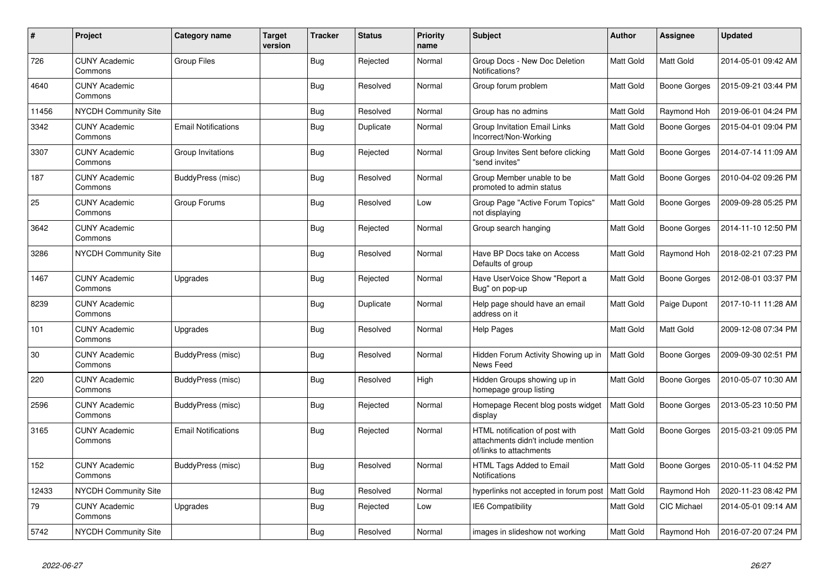| #     | Project                         | Category name              | <b>Target</b><br>version | <b>Tracker</b> | <b>Status</b> | <b>Priority</b><br>name | <b>Subject</b>                                                                                  | Author    | Assignee            | <b>Updated</b>      |
|-------|---------------------------------|----------------------------|--------------------------|----------------|---------------|-------------------------|-------------------------------------------------------------------------------------------------|-----------|---------------------|---------------------|
| 726   | <b>CUNY Academic</b><br>Commons | <b>Group Files</b>         |                          | <b>Bug</b>     | Rejected      | Normal                  | Group Docs - New Doc Deletion<br>Notifications?                                                 | Matt Gold | Matt Gold           | 2014-05-01 09:42 AM |
| 4640  | <b>CUNY Academic</b><br>Commons |                            |                          | Bug            | Resolved      | Normal                  | Group forum problem                                                                             | Matt Gold | Boone Gorges        | 2015-09-21 03:44 PM |
| 11456 | <b>NYCDH Community Site</b>     |                            |                          | <b>Bug</b>     | Resolved      | Normal                  | Group has no admins                                                                             | Matt Gold | Raymond Hoh         | 2019-06-01 04:24 PM |
| 3342  | <b>CUNY Academic</b><br>Commons | <b>Email Notifications</b> |                          | <b>Bug</b>     | Duplicate     | Normal                  | Group Invitation Email Links<br>Incorrect/Non-Working                                           | Matt Gold | Boone Gorges        | 2015-04-01 09:04 PM |
| 3307  | <b>CUNY Academic</b><br>Commons | Group Invitations          |                          | <b>Bug</b>     | Rejected      | Normal                  | Group Invites Sent before clicking<br>"send invites"                                            | Matt Gold | <b>Boone Gorges</b> | 2014-07-14 11:09 AM |
| 187   | <b>CUNY Academic</b><br>Commons | BuddyPress (misc)          |                          | <b>Bug</b>     | Resolved      | Normal                  | Group Member unable to be<br>promoted to admin status                                           | Matt Gold | Boone Gorges        | 2010-04-02 09:26 PM |
| 25    | <b>CUNY Academic</b><br>Commons | Group Forums               |                          | Bug            | Resolved      | Low                     | Group Page "Active Forum Topics"<br>not displaying                                              | Matt Gold | Boone Gorges        | 2009-09-28 05:25 PM |
| 3642  | <b>CUNY Academic</b><br>Commons |                            |                          | Bug            | Rejected      | Normal                  | Group search hanging                                                                            | Matt Gold | Boone Gorges        | 2014-11-10 12:50 PM |
| 3286  | <b>NYCDH Community Site</b>     |                            |                          | Bug            | Resolved      | Normal                  | Have BP Docs take on Access<br>Defaults of group                                                | Matt Gold | Raymond Hoh         | 2018-02-21 07:23 PM |
| 1467  | <b>CUNY Academic</b><br>Commons | Upgrades                   |                          | Bug            | Rejected      | Normal                  | Have UserVoice Show "Report a<br>Bug" on pop-up                                                 | Matt Gold | <b>Boone Gorges</b> | 2012-08-01 03:37 PM |
| 8239  | <b>CUNY Academic</b><br>Commons |                            |                          | Bug            | Duplicate     | Normal                  | Help page should have an email<br>address on it                                                 | Matt Gold | Paige Dupont        | 2017-10-11 11:28 AM |
| 101   | <b>CUNY Academic</b><br>Commons | Upgrades                   |                          | Bug            | Resolved      | Normal                  | <b>Help Pages</b>                                                                               | Matt Gold | Matt Gold           | 2009-12-08 07:34 PM |
| 30    | <b>CUNY Academic</b><br>Commons | BuddyPress (misc)          |                          | Bug            | Resolved      | Normal                  | Hidden Forum Activity Showing up in<br>News Feed                                                | Matt Gold | Boone Gorges        | 2009-09-30 02:51 PM |
| 220   | <b>CUNY Academic</b><br>Commons | BuddyPress (misc)          |                          | Bug            | Resolved      | High                    | Hidden Groups showing up in<br>homepage group listing                                           | Matt Gold | Boone Gorges        | 2010-05-07 10:30 AM |
| 2596  | <b>CUNY Academic</b><br>Commons | BuddyPress (misc)          |                          | <b>Bug</b>     | Rejected      | Normal                  | Homepage Recent blog posts widget<br>display                                                    | Matt Gold | Boone Gorges        | 2013-05-23 10:50 PM |
| 3165  | <b>CUNY Academic</b><br>Commons | <b>Email Notifications</b> |                          | Bug            | Rejected      | Normal                  | HTML notification of post with<br>attachments didn't include mention<br>of/links to attachments | Matt Gold | Boone Gorges        | 2015-03-21 09:05 PM |
| 152   | <b>CUNY Academic</b><br>Commons | BuddyPress (misc)          |                          | Bug            | Resolved      | Normal                  | HTML Tags Added to Email<br><b>Notifications</b>                                                | Matt Gold | Boone Gorges        | 2010-05-11 04:52 PM |
| 12433 | NYCDH Community Site            |                            |                          | <b>Bug</b>     | Resolved      | Normal                  | hyperlinks not accepted in forum post                                                           | Matt Gold | Raymond Hoh         | 2020-11-23 08:42 PM |
| 79    | <b>CUNY Academic</b><br>Commons | Upgrades                   |                          | <b>Bug</b>     | Rejected      | Low                     | <b>IE6 Compatibility</b>                                                                        | Matt Gold | <b>CIC Michael</b>  | 2014-05-01 09:14 AM |
| 5742  | <b>NYCDH Community Site</b>     |                            |                          | Bug            | Resolved      | Normal                  | images in slideshow not working                                                                 | Matt Gold | Raymond Hoh         | 2016-07-20 07:24 PM |